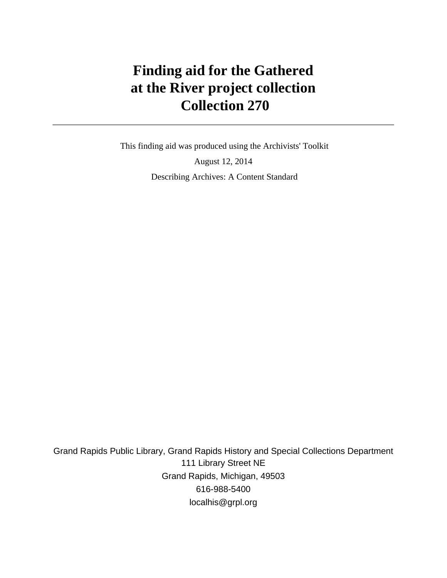# **Finding aid for the Gathered at the River project collection Collection 270**

 This finding aid was produced using the Archivists' Toolkit August 12, 2014 Describing Archives: A Content Standard

Grand Rapids Public Library, Grand Rapids History and Special Collections Department 111 Library Street NE Grand Rapids, Michigan, 49503 616-988-5400 localhis@grpl.org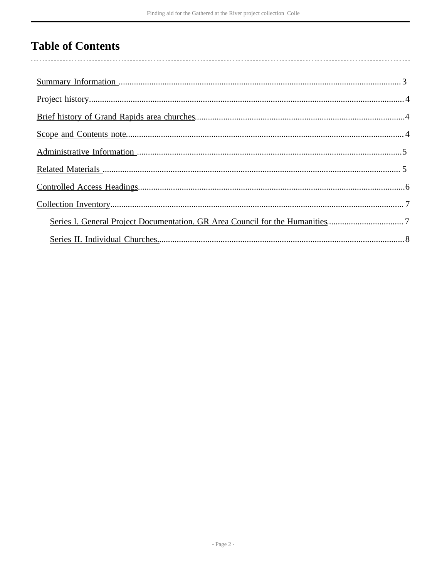## **Table of Contents**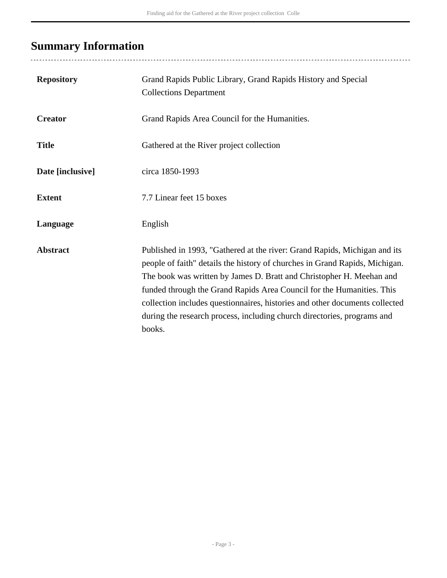# <span id="page-2-0"></span>**Summary Information**

...................................

| <b>Repository</b> | Grand Rapids Public Library, Grand Rapids History and Special<br><b>Collections Department</b>                                                                                                                                                                                                                                                                                                                                                                                |
|-------------------|-------------------------------------------------------------------------------------------------------------------------------------------------------------------------------------------------------------------------------------------------------------------------------------------------------------------------------------------------------------------------------------------------------------------------------------------------------------------------------|
| <b>Creator</b>    | Grand Rapids Area Council for the Humanities.                                                                                                                                                                                                                                                                                                                                                                                                                                 |
| <b>Title</b>      | Gathered at the River project collection                                                                                                                                                                                                                                                                                                                                                                                                                                      |
| Date [inclusive]  | circa 1850-1993                                                                                                                                                                                                                                                                                                                                                                                                                                                               |
| <b>Extent</b>     | 7.7 Linear feet 15 boxes                                                                                                                                                                                                                                                                                                                                                                                                                                                      |
| Language          | English                                                                                                                                                                                                                                                                                                                                                                                                                                                                       |
| <b>Abstract</b>   | Published in 1993, "Gathered at the river: Grand Rapids, Michigan and its<br>people of faith" details the history of churches in Grand Rapids, Michigan.<br>The book was written by James D. Bratt and Christopher H. Meehan and<br>funded through the Grand Rapids Area Council for the Humanities. This<br>collection includes questionnaires, histories and other documents collected<br>during the research process, including church directories, programs and<br>books. |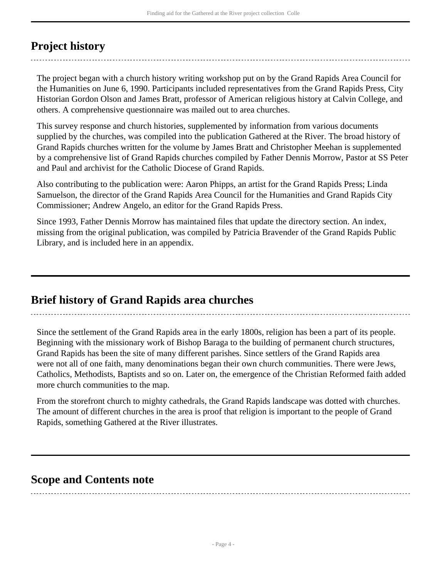## <span id="page-3-0"></span>**Project history**

The project began with a church history writing workshop put on by the Grand Rapids Area Council for the Humanities on June 6, 1990. Participants included representatives from the Grand Rapids Press, City Historian Gordon Olson and James Bratt, professor of American religious history at Calvin College, and others. A comprehensive questionnaire was mailed out to area churches.

This survey response and church histories, supplemented by information from various documents supplied by the churches, was compiled into the publication Gathered at the River. The broad history of Grand Rapids churches written for the volume by James Bratt and Christopher Meehan is supplemented by a comprehensive list of Grand Rapids churches compiled by Father Dennis Morrow, Pastor at SS Peter and Paul and archivist for the Catholic Diocese of Grand Rapids.

Also contributing to the publication were: Aaron Phipps, an artist for the Grand Rapids Press; Linda Samuelson, the director of the Grand Rapids Area Council for the Humanities and Grand Rapids City Commissioner; Andrew Angelo, an editor for the Grand Rapids Press.

Since 1993, Father Dennis Morrow has maintained files that update the directory section. An index, missing from the original publication, was compiled by Patricia Bravender of the Grand Rapids Public Library, and is included here in an appendix.

## <span id="page-3-1"></span>**Brief history of Grand Rapids area churches**

Since the settlement of the Grand Rapids area in the early 1800s, religion has been a part of its people. Beginning with the missionary work of Bishop Baraga to the building of permanent church structures, Grand Rapids has been the site of many different parishes. Since settlers of the Grand Rapids area were not all of one faith, many denominations began their own church communities. There were Jews, Catholics, Methodists, Baptists and so on. Later on, the emergence of the Christian Reformed faith added more church communities to the map.

From the storefront church to mighty cathedrals, the Grand Rapids landscape was dotted with churches. The amount of different churches in the area is proof that religion is important to the people of Grand Rapids, something Gathered at the River illustrates.

## <span id="page-3-2"></span>**Scope and Contents note**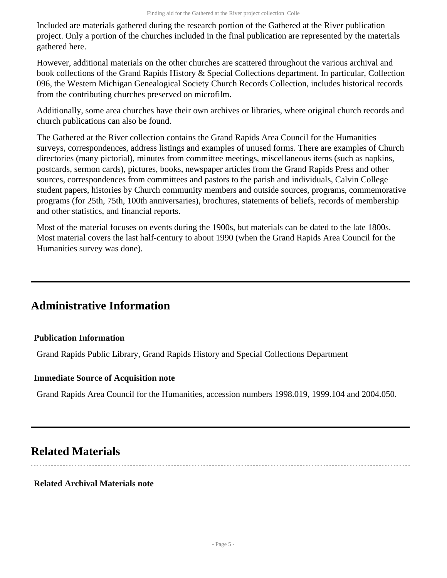Included are materials gathered during the research portion of the Gathered at the River publication project. Only a portion of the churches included in the final publication are represented by the materials gathered here.

However, additional materials on the other churches are scattered throughout the various archival and book collections of the Grand Rapids History & Special Collections department. In particular, Collection 096, the Western Michigan Genealogical Society Church Records Collection, includes historical records from the contributing churches preserved on microfilm.

Additionally, some area churches have their own archives or libraries, where original church records and church publications can also be found.

The Gathered at the River collection contains the Grand Rapids Area Council for the Humanities surveys, correspondences, address listings and examples of unused forms. There are examples of Church directories (many pictorial), minutes from committee meetings, miscellaneous items (such as napkins, postcards, sermon cards), pictures, books, newspaper articles from the Grand Rapids Press and other sources, correspondences from committees and pastors to the parish and individuals, Calvin College student papers, histories by Church community members and outside sources, programs, commemorative programs (for 25th, 75th, 100th anniversaries), brochures, statements of beliefs, records of membership and other statistics, and financial reports.

Most of the material focuses on events during the 1900s, but materials can be dated to the late 1800s. Most material covers the last half-century to about 1990 (when the Grand Rapids Area Council for the Humanities survey was done).

## <span id="page-4-0"></span>**Administrative Information**

## **Publication Information**

Grand Rapids Public Library, Grand Rapids History and Special Collections Department

## **Immediate Source of Acquisition note**

Grand Rapids Area Council for the Humanities, accession numbers 1998.019, 1999.104 and 2004.050.

## <span id="page-4-1"></span>**Related Materials**

## **Related Archival Materials note**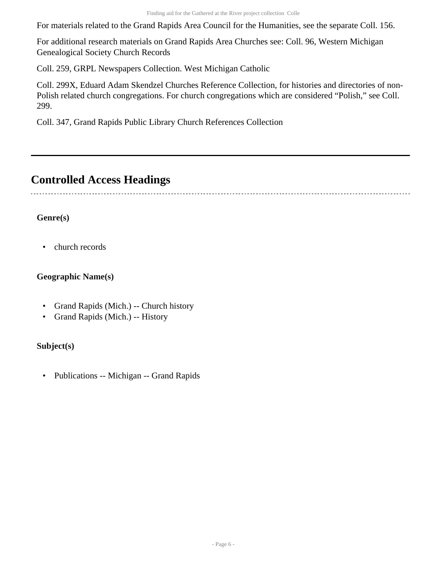For materials related to the Grand Rapids Area Council for the Humanities, see the separate Coll. 156.

For additional research materials on Grand Rapids Area Churches see: Coll. 96, Western Michigan Genealogical Society Church Records

Coll. 259, GRPL Newspapers Collection. West Michigan Catholic

Coll. 299X, Eduard Adam Skendzel Churches Reference Collection, for histories and directories of non-Polish related church congregations. For church congregations which are considered "Polish," see Coll. 299.

Coll. 347, Grand Rapids Public Library Church References Collection

## <span id="page-5-0"></span>**Controlled Access Headings**

## **Genre(s)**

• church records

## **Geographic Name(s)**

- Grand Rapids (Mich.) -- Church history
- Grand Rapids (Mich.) -- History

## **Subject(s)**

• Publications -- Michigan -- Grand Rapids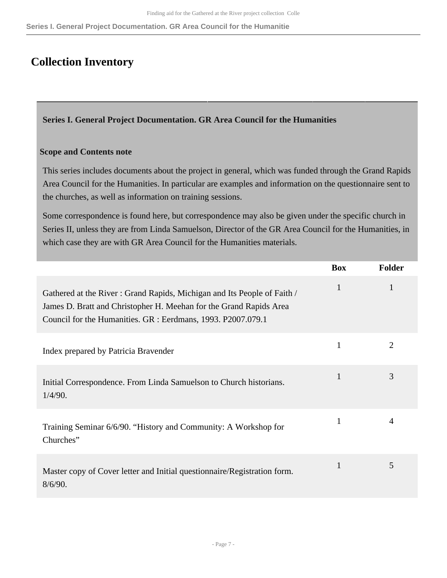**Series I. General Project Documentation. GR Area Council for the Humanitie**

## <span id="page-6-0"></span>**Collection Inventory**

<span id="page-6-1"></span>**Series I. General Project Documentation. GR Area Council for the Humanities** 

#### **Scope and Contents note**

This series includes documents about the project in general, which was funded through the Grand Rapids Area Council for the Humanities. In particular are examples and information on the questionnaire sent to the churches, as well as information on training sessions.

Some correspondence is found here, but correspondence may also be given under the specific church in Series II, unless they are from Linda Samuelson, Director of the GR Area Council for the Humanities, in which case they are with GR Area Council for the Humanities materials.

|                                                                                                                                                                                                               | <b>Box</b> | <b>Folder</b> |
|---------------------------------------------------------------------------------------------------------------------------------------------------------------------------------------------------------------|------------|---------------|
| Gathered at the River: Grand Rapids, Michigan and Its People of Faith /<br>James D. Bratt and Christopher H. Meehan for the Grand Rapids Area<br>Council for the Humanities. GR : Eerdmans, 1993. P2007.079.1 | 1          | 1             |
| Index prepared by Patricia Bravender                                                                                                                                                                          |            | 2             |
| Initial Correspondence. From Linda Samuelson to Church historians.<br>1/4/90.                                                                                                                                 |            | 3             |
| Training Seminar 6/6/90. "History and Community: A Workshop for<br>Churches"                                                                                                                                  | 1          | 4             |
| Master copy of Cover letter and Initial questionnaire/Registration form.<br>8/6/90.                                                                                                                           | 1          | 5             |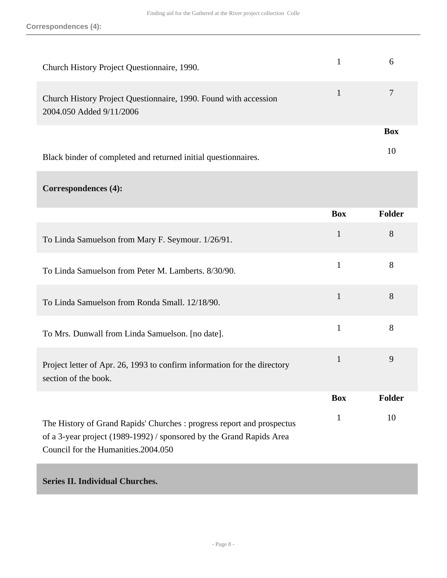| Church History Project Questionnaire, 1990.                                                  | 6          |
|----------------------------------------------------------------------------------------------|------------|
| Church History Project Questionnaire, 1990. Found with accession<br>2004.050 Added 9/11/2006 |            |
|                                                                                              | <b>Box</b> |
| Black binder of completed and returned initial questionnaires.                               | 10         |

## **Correspondences (4):**

|                                                                                                                                                                                        | <b>Box</b>   | <b>Folder</b> |
|----------------------------------------------------------------------------------------------------------------------------------------------------------------------------------------|--------------|---------------|
| To Linda Samuelson from Mary F. Seymour. 1/26/91.                                                                                                                                      | $\mathbf{1}$ | 8             |
| To Linda Samuelson from Peter M. Lamberts, 8/30/90.                                                                                                                                    | $\mathbf{1}$ | 8             |
| To Linda Samuelson from Ronda Small. 12/18/90.                                                                                                                                         | 1            | 8             |
| To Mrs. Dunwall from Linda Samuelson. [no date].                                                                                                                                       | $\mathbf{1}$ | 8             |
| Project letter of Apr. 26, 1993 to confirm information for the directory<br>section of the book.                                                                                       | 1            | 9             |
|                                                                                                                                                                                        | <b>Box</b>   | Folder        |
| The History of Grand Rapids' Churches : progress report and prospectus<br>of a 3-year project (1989-1992) / sponsored by the Grand Rapids Area<br>Council for the Humanities. 2004.050 | 1            | 10            |

## <span id="page-7-0"></span>**Series II. Individual Churches.**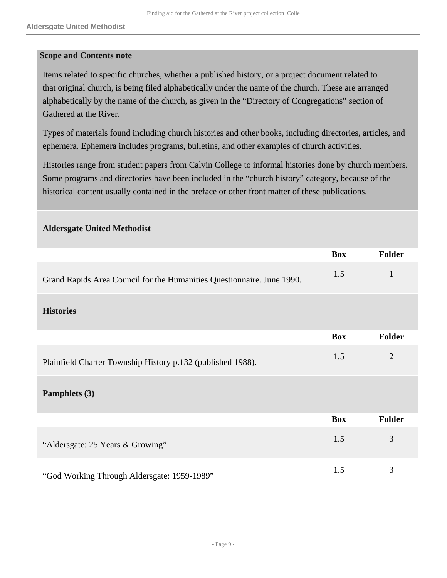#### **Scope and Contents note**

**Aldersgate United Methodist** 

Items related to specific churches, whether a published history, or a project document related to that original church, is being filed alphabetically under the name of the church. These are arranged alphabetically by the name of the church, as given in the "Directory of Congregations" section of Gathered at the River.

Types of materials found including church histories and other books, including directories, articles, and ephemera. Ephemera includes programs, bulletins, and other examples of church activities.

Histories range from student papers from Calvin College to informal histories done by church members. Some programs and directories have been included in the "church history" category, because of the historical content usually contained in the preface or other front matter of these publications.

|                                                                        | <b>Box</b> | <b>Folder</b>  |
|------------------------------------------------------------------------|------------|----------------|
| Grand Rapids Area Council for the Humanities Questionnaire. June 1990. | 1.5        | 1              |
| <b>Histories</b>                                                       |            |                |
|                                                                        | <b>Box</b> | <b>Folder</b>  |
| Plainfield Charter Township History p.132 (published 1988).            | 1.5        | $\overline{2}$ |
| Pamphlets (3)                                                          |            |                |
|                                                                        | <b>Box</b> | <b>Folder</b>  |
| "Aldersgate: 25 Years & Growing"                                       | 1.5        | 3              |
| "God Working Through Aldersgate: 1959-1989"                            | 1.5        | 3              |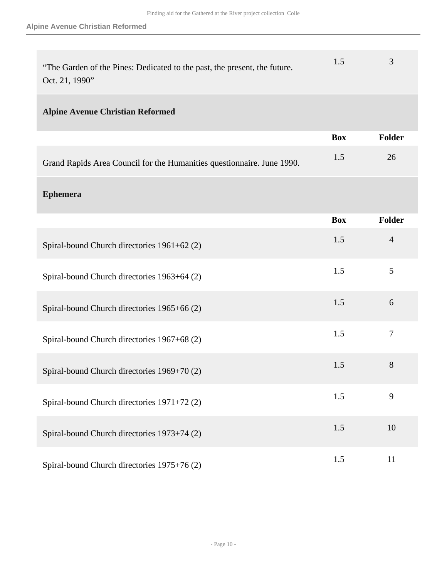| "The Garden of the Pines: Dedicated to the past, the present, the future. |  |
|---------------------------------------------------------------------------|--|
| Oct. 21, 1990"                                                            |  |

## **Alpine Avenue Christian Reformed**

|                                                                        | <b>Box</b> | Folder |
|------------------------------------------------------------------------|------------|--------|
| Grand Rapids Area Council for the Humanities questionnaire. June 1990. |            | 26     |

## **Ephemera**

|                                             | <b>Box</b> | <b>Folder</b>  |
|---------------------------------------------|------------|----------------|
| Spiral-bound Church directories 1961+62 (2) | 1.5        | $\overline{4}$ |
| Spiral-bound Church directories 1963+64 (2) | 1.5        | 5              |
| Spiral-bound Church directories 1965+66 (2) | 1.5        | 6              |
| Spiral-bound Church directories 1967+68 (2) | 1.5        | 7              |
| Spiral-bound Church directories 1969+70 (2) | 1.5        | 8              |
| Spiral-bound Church directories 1971+72 (2) | 1.5        | 9              |
| Spiral-bound Church directories 1973+74 (2) | 1.5        | 10             |
| Spiral-bound Church directories 1975+76 (2) | 1.5        | 11             |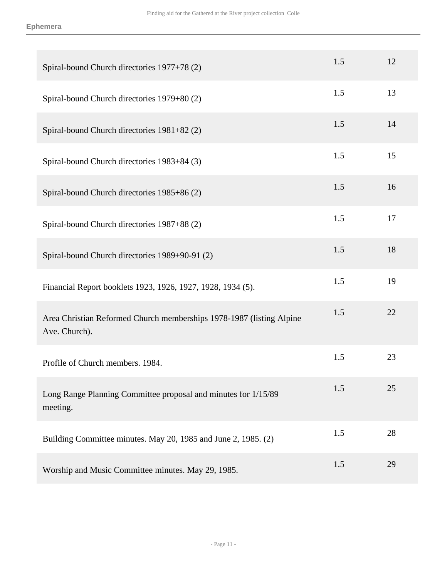| Spiral-bound Church directories 1977+78 (2)                                           | 1.5 | 12 |
|---------------------------------------------------------------------------------------|-----|----|
| Spiral-bound Church directories 1979+80 (2)                                           | 1.5 | 13 |
| Spiral-bound Church directories 1981+82 (2)                                           | 1.5 | 14 |
| Spiral-bound Church directories 1983+84 (3)                                           | 1.5 | 15 |
| Spiral-bound Church directories 1985+86 (2)                                           | 1.5 | 16 |
| Spiral-bound Church directories 1987+88 (2)                                           | 1.5 | 17 |
| Spiral-bound Church directories 1989+90-91 (2)                                        | 1.5 | 18 |
| Financial Report booklets 1923, 1926, 1927, 1928, 1934 (5).                           | 1.5 | 19 |
| Area Christian Reformed Church memberships 1978-1987 (listing Alpine<br>Ave. Church). | 1.5 | 22 |
| Profile of Church members. 1984.                                                      | 1.5 | 23 |
| Long Range Planning Committee proposal and minutes for 1/15/89<br>meeting.            | 1.5 | 25 |
| Building Committee minutes. May 20, 1985 and June 2, 1985. (2)                        | 1.5 | 28 |
| Worship and Music Committee minutes. May 29, 1985.                                    | 1.5 | 29 |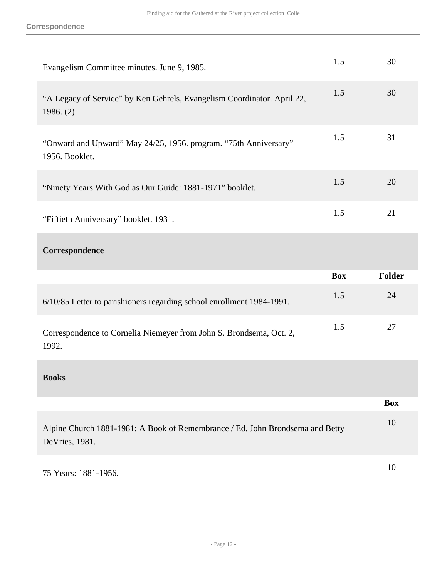| Evangelism Committee minutes. June 9, 1985.                                                     | 1.5        | 30            |
|-------------------------------------------------------------------------------------------------|------------|---------------|
| "A Legacy of Service" by Ken Gehrels, Evangelism Coordinator. April 22,<br>1986. (2)            | 1.5        | 30            |
| "Onward and Upward" May 24/25, 1956. program. "75th Anniversary"<br>1956. Booklet.              | 1.5        | 31            |
| "Ninety Years With God as Our Guide: 1881-1971" booklet.                                        | 1.5        | 20            |
| "Fiftieth Anniversary" booklet. 1931.                                                           | 1.5        | 21            |
| Correspondence                                                                                  |            |               |
|                                                                                                 |            |               |
|                                                                                                 | <b>Box</b> | <b>Folder</b> |
| 6/10/85 Letter to parishioners regarding school enrollment 1984-1991.                           | 1.5        | 24            |
| Correspondence to Cornelia Niemeyer from John S. Brondsema, Oct. 2,<br>1992.                    | 1.5        | 27            |
| <b>Books</b>                                                                                    |            |               |
|                                                                                                 |            | <b>Box</b>    |
| Alpine Church 1881-1981: A Book of Remembrance / Ed. John Brondsema and Betty<br>DeVries, 1981. |            | 10            |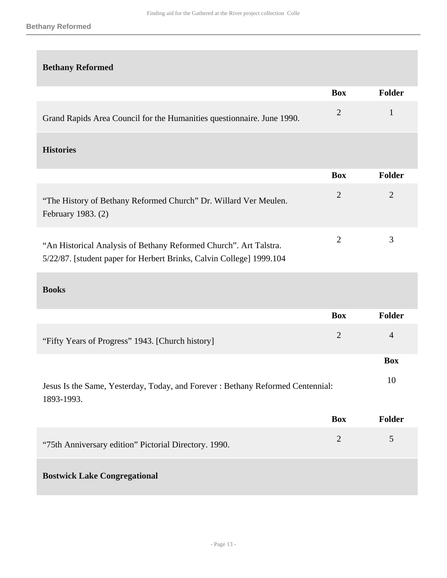#### **Bethany Reformed**

## **Bethany Reformed**

|                                                                                                                                           | <b>Box</b>     | Folder         |
|-------------------------------------------------------------------------------------------------------------------------------------------|----------------|----------------|
| Grand Rapids Area Council for the Humanities questionnaire. June 1990.                                                                    | $\overline{2}$ | $\mathbf{1}$   |
| <b>Histories</b>                                                                                                                          |                |                |
|                                                                                                                                           | <b>Box</b>     | <b>Folder</b>  |
| "The History of Bethany Reformed Church" Dr. Willard Ver Meulen.<br>February 1983. (2)                                                    | $\overline{2}$ | $\overline{2}$ |
| "An Historical Analysis of Bethany Reformed Church". Art Talstra.<br>5/22/87. [student paper for Herbert Brinks, Calvin College] 1999.104 | $\overline{2}$ | 3              |
| <b>Books</b>                                                                                                                              |                |                |
|                                                                                                                                           | <b>Box</b>     | Folder         |
| "Fifty Years of Progress" 1943. [Church history]                                                                                          | $\overline{2}$ | $\overline{4}$ |
|                                                                                                                                           |                | <b>Box</b>     |
| Jesus Is the Same, Yesterday, Today, and Forever: Bethany Reformed Centennial:<br>1893-1993.                                              |                | 10             |
|                                                                                                                                           | <b>Box</b>     | Folder         |
| "75th Anniversary edition" Pictorial Directory. 1990.                                                                                     | $\overline{2}$ | 5              |
| <b>Bostwick Lake Congregational</b>                                                                                                       |                |                |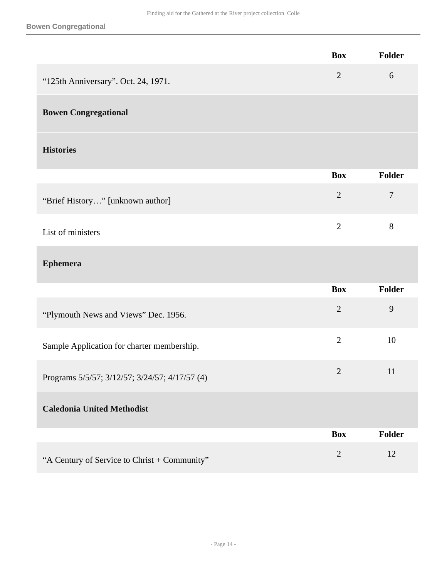#### **Bowen Congregational**

|                                                | <b>Box</b>     | Folder         |
|------------------------------------------------|----------------|----------------|
| "125th Anniversary". Oct. 24, 1971.            | $\mathbf{2}$   | 6              |
| <b>Bowen Congregational</b>                    |                |                |
| <b>Histories</b>                               |                |                |
|                                                | <b>Box</b>     | Folder         |
| "Brief History" [unknown author]               | $\overline{2}$ | $\overline{7}$ |
| List of ministers                              | $\overline{2}$ | 8              |
| <b>Ephemera</b>                                |                |                |
|                                                | <b>Box</b>     | Folder         |
| "Plymouth News and Views" Dec. 1956.           | $\overline{2}$ | 9              |
| Sample Application for charter membership.     | $\overline{2}$ | 10             |
| Programs 5/5/57; 3/12/57; 3/24/57; 4/17/57 (4) | $\overline{2}$ | 11             |
| <b>Caledonia United Methodist</b>              |                |                |
|                                                | <b>Box</b>     | Folder         |
| "A Century of Service to Christ + Community"   | $\mathbf{2}$   | 12             |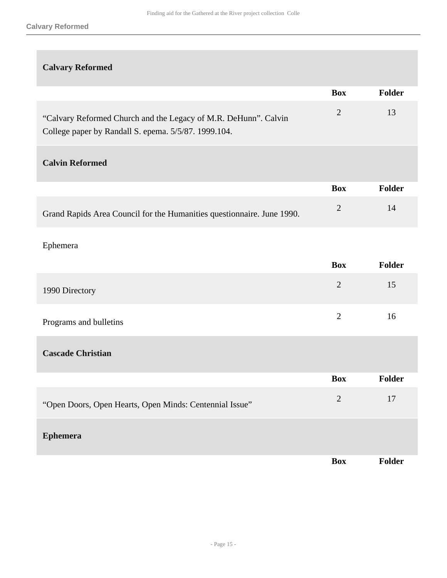## **Calvary Reformed**

|                                                                                                                         | <b>Box</b>     | Folder |
|-------------------------------------------------------------------------------------------------------------------------|----------------|--------|
| "Calvary Reformed Church and the Legacy of M.R. DeHunn". Calvin<br>College paper by Randall S. epema. 5/5/87. 1999.104. | $\overline{2}$ | 13     |
| <b>Calvin Reformed</b>                                                                                                  |                |        |
|                                                                                                                         | <b>Box</b>     | Folder |
| Grand Rapids Area Council for the Humanities questionnaire. June 1990.                                                  | $\overline{2}$ | 14     |
| Ephemera                                                                                                                |                |        |
|                                                                                                                         | <b>Box</b>     | Folder |
| 1990 Directory                                                                                                          | $\overline{2}$ | 15     |
| Programs and bulletins                                                                                                  | $\overline{2}$ | 16     |
| <b>Cascade Christian</b>                                                                                                |                |        |
|                                                                                                                         | <b>Box</b>     | Folder |
| "Open Doors, Open Hearts, Open Minds: Centennial Issue"                                                                 | $\overline{2}$ | 17     |
| <b>Ephemera</b>                                                                                                         |                |        |
|                                                                                                                         | <b>Box</b>     | Folder |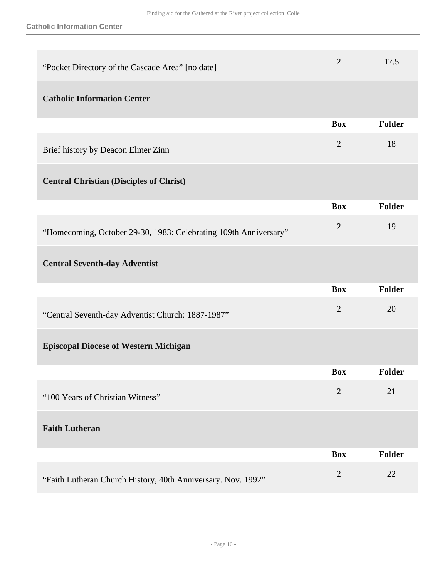| "Pocket Directory of the Cascade Area" [no date]                 | $\overline{2}$ | 17.5          |
|------------------------------------------------------------------|----------------|---------------|
| <b>Catholic Information Center</b>                               |                |               |
|                                                                  | <b>Box</b>     | Folder        |
| Brief history by Deacon Elmer Zinn                               | $\overline{2}$ | 18            |
| <b>Central Christian (Disciples of Christ)</b>                   |                |               |
|                                                                  | <b>Box</b>     | <b>Folder</b> |
| "Homecoming, October 29-30, 1983: Celebrating 109th Anniversary" | $\overline{2}$ | 19            |
| <b>Central Seventh-day Adventist</b>                             |                |               |
|                                                                  | <b>Box</b>     | Folder        |
| "Central Seventh-day Adventist Church: 1887-1987"                | $\overline{2}$ | 20            |
| <b>Episcopal Diocese of Western Michigan</b>                     |                |               |
|                                                                  | <b>Box</b>     | Folder        |
| "100 Years of Christian Witness"                                 | $\overline{2}$ | 21            |
| <b>Faith Lutheran</b>                                            |                |               |
|                                                                  | <b>Box</b>     | <b>Folder</b> |
| "Faith Lutheran Church History, 40th Anniversary. Nov. 1992"     | $\overline{2}$ | 22            |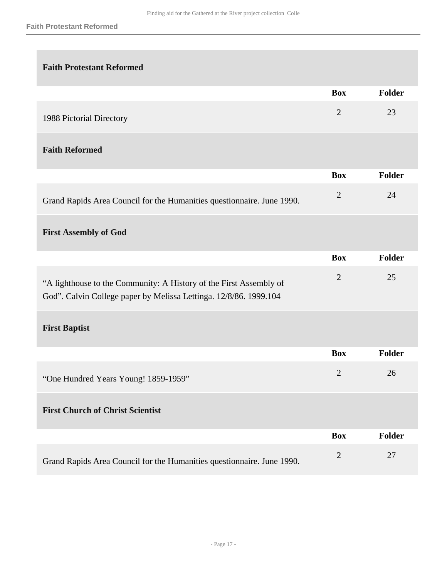# **Faith Protestant Reformed Box Folder** 1988 Pictorial Directory 2 23 **Faith Reformed Box Folder** Grand Rapids Area Council for the Humanities questionnaire. June 1990. 2 24 **First Assembly of God Box Folder** "A lighthouse to the Community: A History of the First Assembly of God". Calvin College paper by Melissa Lettinga. 12/8/86. 1999.104 2 25 **First Baptist Box Folder** "One Hundred Years Young! 1859-1959" <sup>2</sup> <sup>26</sup> **First Church of Christ Scientist Box Folder** Grand Rapids Area Council for the Humanities questionnaire. June 1990. 2 27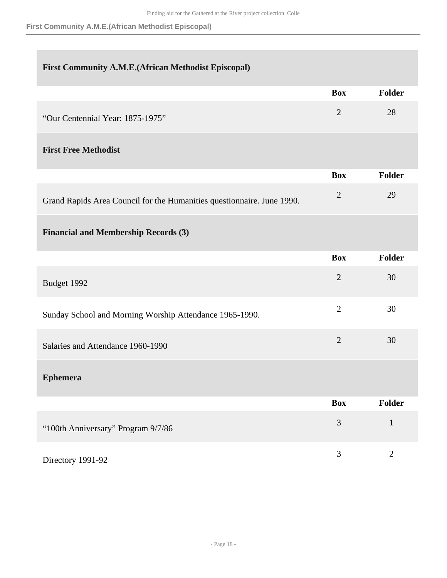**First Community A.M.E.(African Methodist Episcopal)**

## **First Community A.M.E.(African Methodist Episcopal)**

|                                  | <b>Box</b> | <b>Folder</b> |
|----------------------------------|------------|---------------|
| "Our Centennial Year: 1875-1975" |            | 28            |

## **First Free Methodist**

|                                                                        | <b>Box</b> | Folder |
|------------------------------------------------------------------------|------------|--------|
| Grand Rapids Area Council for the Humanities questionnaire. June 1990. |            | 29     |

## **Financial and Membership Records (3)**

|                                                         | <b>Box</b>     | Folder         |
|---------------------------------------------------------|----------------|----------------|
| Budget 1992                                             | $\overline{2}$ | 30             |
| Sunday School and Morning Worship Attendance 1965-1990. | $\overline{2}$ | 30             |
| Salaries and Attendance 1960-1990                       | $\overline{2}$ | 30             |
| <b>Ephemera</b>                                         |                |                |
|                                                         | <b>Box</b>     | <b>Folder</b>  |
| "100th Anniversary" Program 9/7/86                      | 3              | $\mathbf{1}$   |
| Directory 1991-92                                       | 3              | $\overline{2}$ |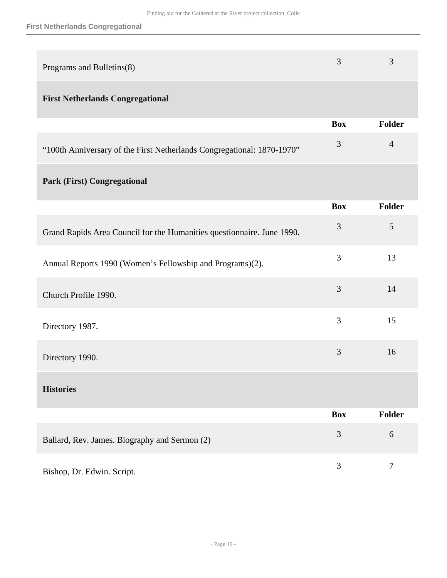| Programs and Bulletins(8)                                              | 3          | 3                |
|------------------------------------------------------------------------|------------|------------------|
| <b>First Netherlands Congregational</b>                                |            |                  |
|                                                                        | <b>Box</b> | <b>Folder</b>    |
| "100th Anniversary of the First Netherlands Congregational: 1870-1970" | 3          | $\overline{4}$   |
| <b>Park (First) Congregational</b>                                     |            |                  |
|                                                                        | <b>Box</b> | <b>Folder</b>    |
| Grand Rapids Area Council for the Humanities questionnaire. June 1990. | 3          | 5                |
| Annual Reports 1990 (Women's Fellowship and Programs)(2).              | 3          | 13               |
| Church Profile 1990.                                                   | 3          | 14               |
| Directory 1987.                                                        | 3          | 15               |
| Directory 1990.                                                        | 3          | 16               |
| <b>Histories</b>                                                       |            |                  |
|                                                                        | <b>Box</b> | Folder           |
| Ballard, Rev. James. Biography and Sermon (2)                          | 3          | 6                |
| Bishop, Dr. Edwin. Script.                                             | 3          | $\boldsymbol{7}$ |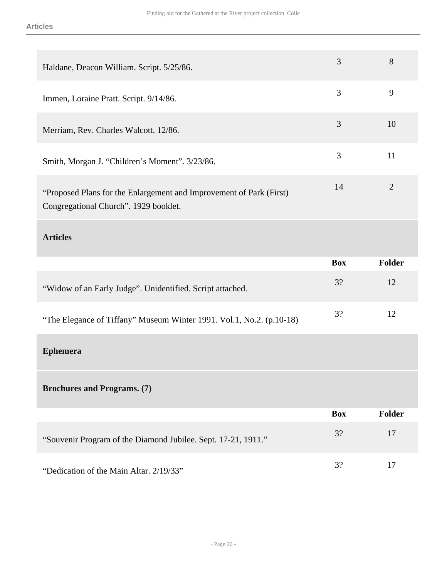| Haldane, Deacon William. Script. 5/25/86.                                                                    | $\overline{3}$ | 8              |
|--------------------------------------------------------------------------------------------------------------|----------------|----------------|
| Immen, Loraine Pratt. Script. 9/14/86.                                                                       | 3              | 9              |
| Merriam, Rev. Charles Walcott. 12/86.                                                                        | 3              | 10             |
| Smith, Morgan J. "Children's Moment". 3/23/86.                                                               | 3              | 11             |
| "Proposed Plans for the Enlargement and Improvement of Park (First)<br>Congregational Church". 1929 booklet. | 14             | $\overline{2}$ |
| <b>Articles</b>                                                                                              |                |                |
|                                                                                                              |                |                |
|                                                                                                              | <b>Box</b>     | <b>Folder</b>  |
| "Widow of an Early Judge". Unidentified. Script attached.                                                    | 3?             | 12             |
| "The Elegance of Tiffany" Museum Winter 1991. Vol.1, No.2. (p.10-18)                                         | 3?             | 12             |
| <b>Ephemera</b>                                                                                              |                |                |
| <b>Brochures and Programs. (7)</b>                                                                           |                |                |
|                                                                                                              | <b>Box</b>     | <b>Folder</b>  |
| "Souvenir Program of the Diamond Jubilee. Sept. 17-21, 1911."                                                | 3?             | 17             |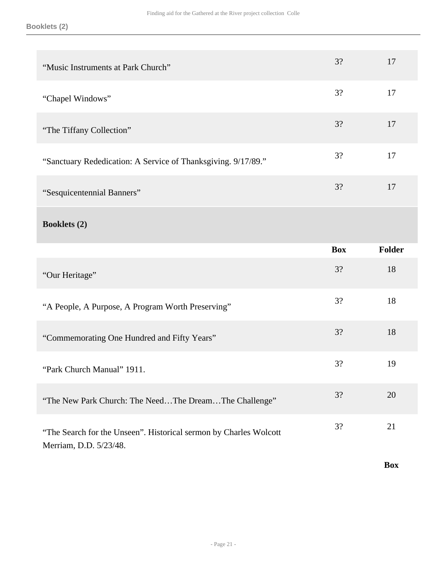| "Music Instruments at Park Church"                            | 3?         | 17     |
|---------------------------------------------------------------|------------|--------|
| "Chapel Windows"                                              | 3?         | 17     |
| "The Tiffany Collection"                                      | 3?         | 17     |
| "Sanctuary Rededication: A Service of Thanksgiving. 9/17/89." | 3?         | 17     |
| "Sesquicentennial Banners"                                    | 3?         | 17     |
| <b>Booklets</b> (2)                                           |            |        |
|                                                               |            |        |
|                                                               | <b>Box</b> | Folder |
| "Our Heritage"                                                | 3?         | 18     |
| "A People, A Purpose, A Program Worth Preserving"             | 3?         | 18     |
| "Commemorating One Hundred and Fifty Years"                   | 3?         | 18     |
| "Park Church Manual" 1911.                                    | 3?         | 19     |
| "The New Park Church: The NeedThe DreamThe Challenge"         | 3?         | 20     |

**Box**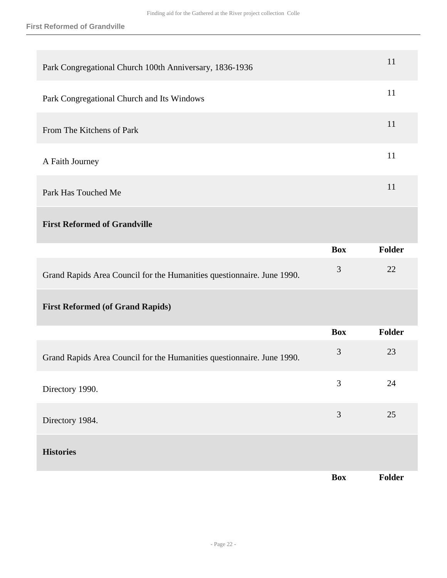| Park Congregational Church 100th Anniversary, 1836-1936                |                | 11            |
|------------------------------------------------------------------------|----------------|---------------|
| Park Congregational Church and Its Windows                             |                | 11            |
| From The Kitchens of Park                                              |                | 11            |
| A Faith Journey                                                        |                | 11            |
| Park Has Touched Me                                                    |                | 11            |
| <b>First Reformed of Grandville</b>                                    |                |               |
|                                                                        | <b>Box</b>     | <b>Folder</b> |
| Grand Rapids Area Council for the Humanities questionnaire. June 1990. | 3              | 22            |
| <b>First Reformed (of Grand Rapids)</b>                                |                |               |
|                                                                        | <b>Box</b>     | <b>Folder</b> |
| Grand Rapids Area Council for the Humanities questionnaire. June 1990. | 3              | 23            |
| Directory 1990.                                                        | 3              | 24            |
| Directory 1984.                                                        | $\mathfrak{Z}$ | 25            |
| <b>Histories</b>                                                       |                |               |
|                                                                        | <b>Box</b>     | Folder        |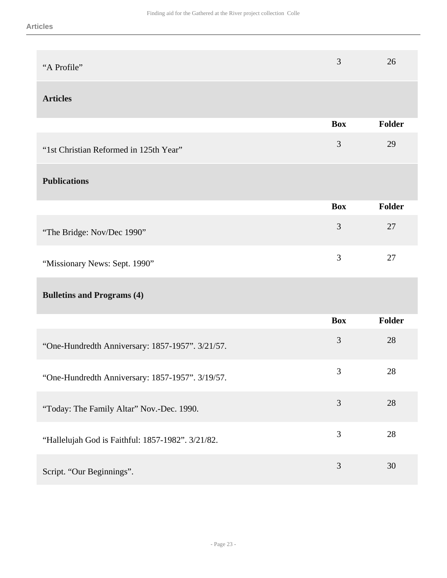| "A Profile"                                       | 3              | 26            |
|---------------------------------------------------|----------------|---------------|
| <b>Articles</b>                                   |                |               |
|                                                   | <b>Box</b>     | <b>Folder</b> |
| "1st Christian Reformed in 125th Year"            | $\mathfrak{Z}$ | 29            |
| <b>Publications</b>                               |                |               |
|                                                   | <b>Box</b>     | <b>Folder</b> |
| "The Bridge: Nov/Dec 1990"                        | 3              | 27            |
| "Missionary News: Sept. 1990"                     | 3              | 27            |
| <b>Bulletins and Programs (4)</b>                 |                |               |
|                                                   | <b>Box</b>     | <b>Folder</b> |
| "One-Hundredth Anniversary: 1857-1957". 3/21/57.  | 3              | 28            |
| "One-Hundredth Anniversary: 1857-1957". 3/19/57.  | 3              | 28            |
| "Today: The Family Altar" Nov.-Dec. 1990.         | 3              | $28\,$        |
| "Hallelujah God is Faithful: 1857-1982". 3/21/82. | 3              | 28            |
| Script. "Our Beginnings".                         | $\mathfrak{Z}$ | $30\,$        |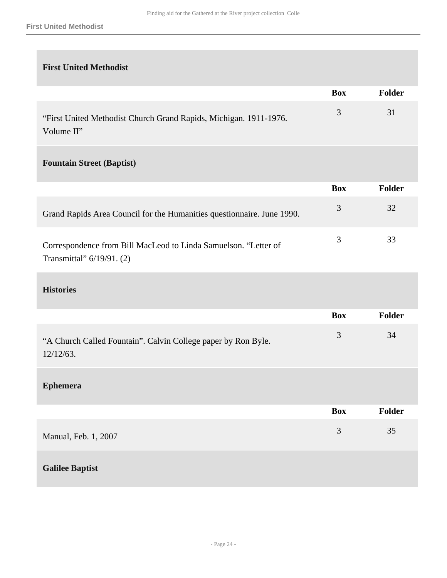#### **First United Methodist**

| <b>First United Methodist</b> |  |
|-------------------------------|--|
|-------------------------------|--|

|                                                                                              | <b>Box</b> | Folder |
|----------------------------------------------------------------------------------------------|------------|--------|
| "First United Methodist Church Grand Rapids, Michigan. 1911-1976.<br>Volume II"              | 3          | 31     |
| <b>Fountain Street (Baptist)</b>                                                             |            |        |
|                                                                                              | <b>Box</b> | Folder |
| Grand Rapids Area Council for the Humanities questionnaire. June 1990.                       | 3          | 32     |
| Correspondence from Bill MacLeod to Linda Samuelson. "Letter of<br>Transmittal" 6/19/91. (2) | 3          | 33     |
| <b>Histories</b>                                                                             |            |        |
|                                                                                              | <b>Box</b> | Folder |
| "A Church Called Fountain". Calvin College paper by Ron Byle.<br>12/12/63.                   | 3          | 34     |
| <b>Ephemera</b>                                                                              |            |        |
|                                                                                              | <b>Box</b> | Folder |
| Manual, Feb. 1, 2007                                                                         | 3          | 35     |
| <b>Galilee Baptist</b>                                                                       |            |        |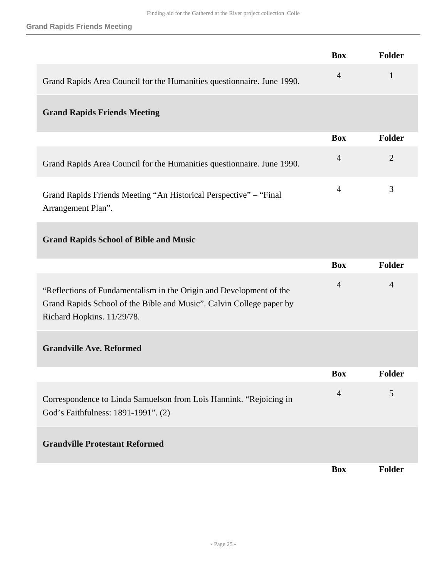|                                                                                                                                                                           | <b>Box</b>     | Folder         |
|---------------------------------------------------------------------------------------------------------------------------------------------------------------------------|----------------|----------------|
| Grand Rapids Area Council for the Humanities questionnaire. June 1990.                                                                                                    | $\overline{4}$ | $\mathbf{1}$   |
| <b>Grand Rapids Friends Meeting</b>                                                                                                                                       |                |                |
|                                                                                                                                                                           | <b>Box</b>     | Folder         |
| Grand Rapids Area Council for the Humanities questionnaire. June 1990.                                                                                                    | $\overline{4}$ | $\overline{2}$ |
| Grand Rapids Friends Meeting "An Historical Perspective" – "Final<br>Arrangement Plan".                                                                                   | $\overline{4}$ | 3              |
| <b>Grand Rapids School of Bible and Music</b>                                                                                                                             |                |                |
|                                                                                                                                                                           | <b>Box</b>     | <b>Folder</b>  |
| "Reflections of Fundamentalism in the Origin and Development of the<br>Grand Rapids School of the Bible and Music". Calvin College paper by<br>Richard Hopkins. 11/29/78. | $\overline{4}$ | 4              |
| <b>Grandville Ave. Reformed</b>                                                                                                                                           |                |                |
|                                                                                                                                                                           | <b>Box</b>     | Folder         |
| Correspondence to Linda Samuelson from Lois Hannink. "Rejoicing in<br>God's Faithfulness: 1891-1991". (2)                                                                 | $\overline{4}$ | 5              |
| <b>Grandville Protestant Reformed</b>                                                                                                                                     |                |                |
|                                                                                                                                                                           |                |                |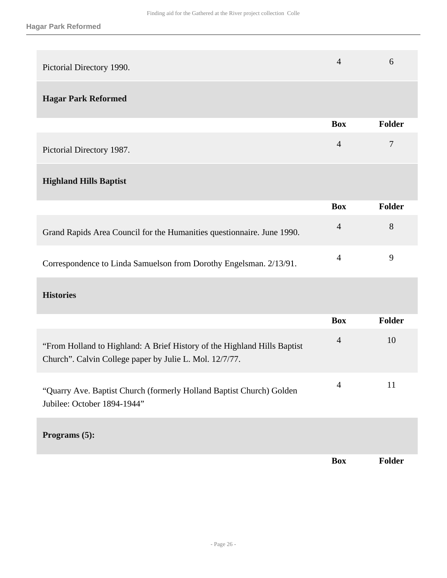| Pictorial Directory 1990.                                                                                                           | $\overline{4}$ | 6              |
|-------------------------------------------------------------------------------------------------------------------------------------|----------------|----------------|
| <b>Hagar Park Reformed</b>                                                                                                          |                |                |
|                                                                                                                                     | <b>Box</b>     | Folder         |
| Pictorial Directory 1987.                                                                                                           | $\overline{4}$ | $\overline{7}$ |
| <b>Highland Hills Baptist</b>                                                                                                       |                |                |
|                                                                                                                                     | <b>Box</b>     | Folder         |
| Grand Rapids Area Council for the Humanities questionnaire. June 1990.                                                              | $\overline{4}$ | 8              |
| Correspondence to Linda Samuelson from Dorothy Engelsman. 2/13/91.                                                                  | $\overline{4}$ | 9              |
| <b>Histories</b>                                                                                                                    |                |                |
|                                                                                                                                     | <b>Box</b>     | Folder         |
| "From Holland to Highland: A Brief History of the Highland Hills Baptist<br>Church". Calvin College paper by Julie L. Mol. 12/7/77. | $\overline{4}$ | 10             |
| "Quarry Ave. Baptist Church (formerly Holland Baptist Church) Golden<br>Jubilee: October 1894-1944"                                 | $\overline{4}$ | 11             |
|                                                                                                                                     |                |                |

**Programs (5):** 

**Box Folder**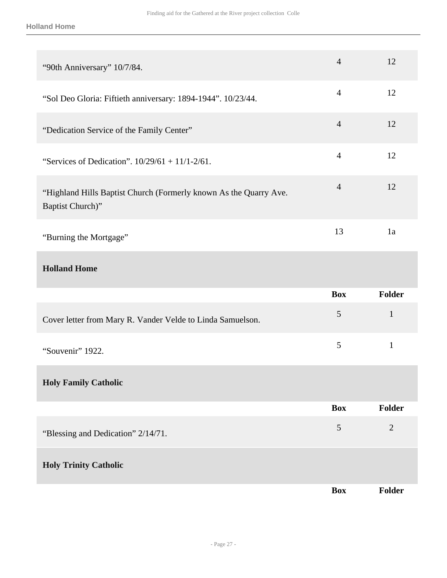| "90th Anniversary" 10/7/84.                                                           | $\overline{4}$ | 12             |
|---------------------------------------------------------------------------------------|----------------|----------------|
| "Sol Deo Gloria: Fiftieth anniversary: 1894-1944". 10/23/44.                          | $\overline{4}$ | 12             |
| "Dedication Service of the Family Center"                                             | $\overline{4}$ | 12             |
| "Services of Dedication". $10/29/61 + 11/1-2/61$ .                                    | $\overline{4}$ | 12             |
| "Highland Hills Baptist Church (Formerly known As the Quarry Ave.<br>Baptist Church)" | $\overline{4}$ | 12             |
| "Burning the Mortgage"                                                                | 13             | 1a             |
| <b>Holland Home</b>                                                                   |                |                |
|                                                                                       |                |                |
|                                                                                       | <b>Box</b>     | Folder         |
| Cover letter from Mary R. Vander Velde to Linda Samuelson.                            | $\mathfrak{S}$ | $\mathbf{1}$   |
| "Souvenir" 1922.                                                                      | 5              | $\mathbf{1}$   |
| <b>Holy Family Catholic</b>                                                           |                |                |
|                                                                                       | <b>Box</b>     | <b>Folder</b>  |
| "Blessing and Dedication" 2/14/71.                                                    | $\mathfrak{S}$ | $\overline{2}$ |
| <b>Holy Trinity Catholic</b>                                                          |                |                |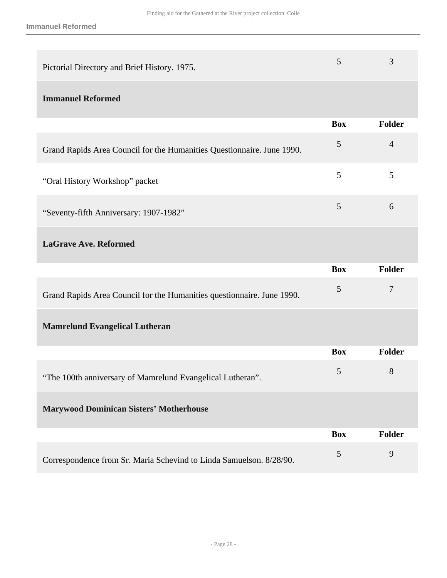| Pictorial Directory and Brief History. 1975. |  |
|----------------------------------------------|--|
|                                              |  |

## **Immanuel Reformed**

|                                                                        | <b>Box</b> | <b>Folder</b> |
|------------------------------------------------------------------------|------------|---------------|
| Grand Rapids Area Council for the Humanities Questionnaire. June 1990. | 5          | 4             |
| "Oral History Workshop" packet                                         | 5          |               |
| "Seventy-fifth Anniversary: 1907-1982"                                 |            | 6             |

## **LaGrave Ave. Reformed**

|                                                                        | <b>Box</b> | <b>Folder</b> |
|------------------------------------------------------------------------|------------|---------------|
| Grand Rapids Area Council for the Humanities questionnaire. June 1990. | 5          | 7             |
| <b>Mamrelund Evangelical Lutheran</b>                                  |            |               |
|                                                                        | <b>Box</b> | <b>Folder</b> |
| "The 100th anniversary of Mamrelund Evangelical Lutheran".             | 5          | 8             |
| <b>Marywood Dominican Sisters' Motherhouse</b>                         |            |               |
|                                                                        | <b>Box</b> | <b>Folder</b> |
| Correspondence from Sr. Maria Schevind to Linda Samuelson. 8/28/90.    | 5          | 9             |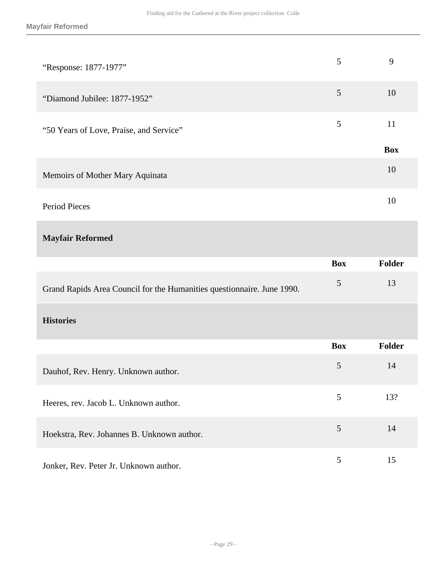| "Response: 1877-1977"                                                  | 5              | 9          |
|------------------------------------------------------------------------|----------------|------------|
| "Diamond Jubilee: 1877-1952"                                           | 5              | 10         |
| "50 Years of Love, Praise, and Service"                                | $\mathfrak{S}$ | 11         |
|                                                                        |                | <b>Box</b> |
| Memoirs of Mother Mary Aquinata                                        |                | 10         |
| <b>Period Pieces</b>                                                   |                | 10         |
| <b>Mayfair Reformed</b>                                                |                |            |
|                                                                        |                |            |
|                                                                        | <b>Box</b>     | Folder     |
| Grand Rapids Area Council for the Humanities questionnaire. June 1990. | $\mathfrak{S}$ | 13         |
| <b>Histories</b>                                                       |                |            |
|                                                                        | <b>Box</b>     | Folder     |
| Dauhof, Rev. Henry. Unknown author.                                    | 5              | 14         |
| Heeres, rev. Jacob L. Unknown author.                                  | 5              | 13?        |
| Hoekstra, Rev. Johannes B. Unknown author.                             | $\sqrt{5}$     | 14         |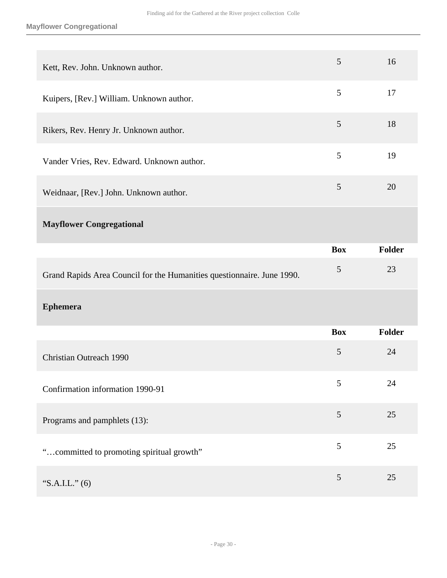#### **Mayflower Congregational**

| Kett, Rev. John. Unknown author.                                       | 5              | 16            |
|------------------------------------------------------------------------|----------------|---------------|
| Kuipers, [Rev.] William. Unknown author.                               | 5              | 17            |
| Rikers, Rev. Henry Jr. Unknown author.                                 | 5              | 18            |
| Vander Vries, Rev. Edward. Unknown author.                             | 5              | 19            |
| Weidnaar, [Rev.] John. Unknown author.                                 | 5              | 20            |
| <b>Mayflower Congregational</b>                                        |                |               |
|                                                                        | <b>Box</b>     | Folder        |
|                                                                        |                |               |
| Grand Rapids Area Council for the Humanities questionnaire. June 1990. | 5              | 23            |
| <b>Ephemera</b>                                                        |                |               |
|                                                                        | <b>Box</b>     | <b>Folder</b> |
| Christian Outreach 1990                                                | $\overline{5}$ | 24            |
| Confirmation information 1990-91                                       | 5              | 24            |
| Programs and pamphlets (13):                                           | 5              | 25            |
| "committed to promoting spiritual growth"                              | $\mathfrak{S}$ | 25            |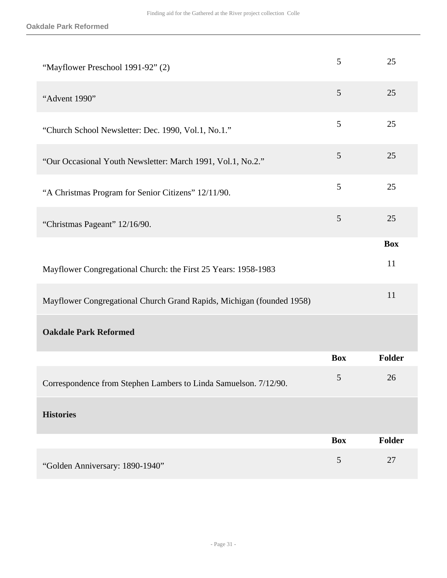| "Mayflower Preschool 1991-92" (2)                                     | 5              | 25            |
|-----------------------------------------------------------------------|----------------|---------------|
| "Advent 1990"                                                         | 5              | 25            |
| "Church School Newsletter: Dec. 1990, Vol.1, No.1."                   | 5              | 25            |
| "Our Occasional Youth Newsletter: March 1991, Vol.1, No.2."           | 5              | 25            |
| "A Christmas Program for Senior Citizens" 12/11/90.                   | 5              | 25            |
| "Christmas Pageant" 12/16/90.                                         | $\mathfrak{S}$ | 25            |
|                                                                       |                | <b>Box</b>    |
| Mayflower Congregational Church: the First 25 Years: 1958-1983        |                | 11            |
| Mayflower Congregational Church Grand Rapids, Michigan (founded 1958) |                | 11            |
| <b>Oakdale Park Reformed</b>                                          |                |               |
|                                                                       | <b>Box</b>     | <b>Folder</b> |
| Correspondence from Stephen Lambers to Linda Samuelson. 7/12/90.      | $\mathfrak{S}$ | 26            |
| <b>Histories</b>                                                      |                |               |
|                                                                       | <b>Box</b>     | <b>Folder</b> |
| "Golden Anniversary: 1890-1940"                                       | 5              | 27            |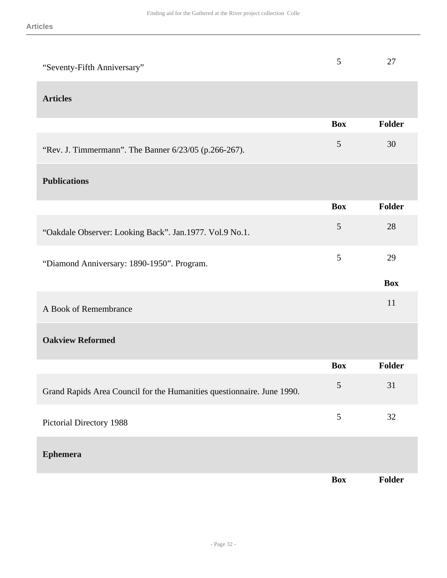| "Seventy-Fifth Anniversary"                                            | 5              | 27            |
|------------------------------------------------------------------------|----------------|---------------|
| <b>Articles</b>                                                        |                |               |
|                                                                        | <b>Box</b>     | Folder        |
| "Rev. J. Timmermann". The Banner 6/23/05 (p.266-267).                  | 5              | 30            |
| <b>Publications</b>                                                    |                |               |
|                                                                        | <b>Box</b>     | Folder        |
| "Oakdale Observer: Looking Back". Jan.1977. Vol.9 No.1.                | 5              | 28            |
| "Diamond Anniversary: 1890-1950". Program.                             | 5              | 29            |
|                                                                        |                | <b>Box</b>    |
| A Book of Remembrance                                                  |                | 11            |
| <b>Oakview Reformed</b>                                                |                |               |
|                                                                        | <b>Box</b>     | <b>Folder</b> |
| Grand Rapids Area Council for the Humanities questionnaire. June 1990. | $\mathfrak{S}$ | 31            |
| Pictorial Directory 1988                                               | $\sqrt{5}$     | 32            |
| <b>Ephemera</b>                                                        |                |               |
|                                                                        |                |               |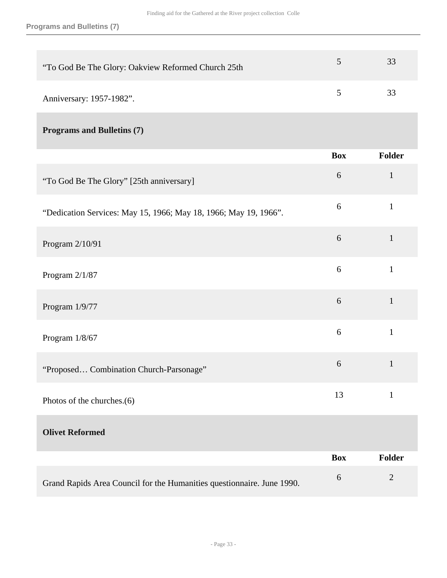| "To God Be The Glory: Oakview Reformed Church 25th               | 5          | 33            |
|------------------------------------------------------------------|------------|---------------|
| Anniversary: 1957-1982".                                         | 5          | 33            |
| <b>Programs and Bulletins (7)</b>                                |            |               |
|                                                                  | <b>Box</b> | <b>Folder</b> |
| "To God Be The Glory" [25th anniversary]                         | $6\,$      | $\mathbf{1}$  |
| "Dedication Services: May 15, 1966; May 18, 1966; May 19, 1966". | 6          | $\mathbf{1}$  |
| Program 2/10/91                                                  | $\sqrt{6}$ | $\mathbf{1}$  |
| Program 2/1/87                                                   | 6          | $\mathbf{1}$  |
| Program 1/9/77                                                   | $\sqrt{6}$ | $\mathbf{1}$  |
| Program 1/8/67                                                   | 6          | $\mathbf{1}$  |
| "Proposed Combination Church-Parsonage"                          | 6          | $\mathbf{1}$  |
| Photos of the churches.(6)                                       | 13         | $\mathbf{1}$  |
| <b>Olivet Reformed</b>                                           |            |               |
|                                                                  | <b>Box</b> | <b>Folder</b> |
|                                                                  |            |               |

Grand Rapids Area Council for the Humanities questionnaire. June 1990.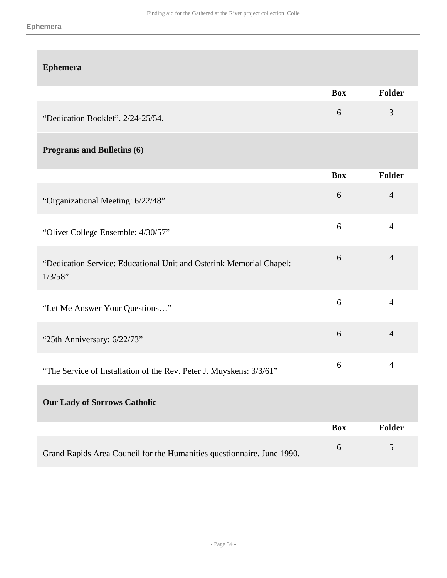| <b>Ephemera</b>                                                                |            |                |
|--------------------------------------------------------------------------------|------------|----------------|
|                                                                                | <b>Box</b> | <b>Folder</b>  |
| "Dedication Booklet". 2/24-25/54.                                              | 6          | 3              |
| <b>Programs and Bulletins (6)</b>                                              |            |                |
|                                                                                | <b>Box</b> | <b>Folder</b>  |
| "Organizational Meeting: 6/22/48"                                              | $6\,$      | $\overline{4}$ |
| "Olivet College Ensemble: 4/30/57"                                             | 6          | $\overline{4}$ |
| "Dedication Service: Educational Unit and Osterink Memorial Chapel:<br>1/3/58" | 6          | $\overline{4}$ |
| "Let Me Answer Your Questions"                                                 | 6          | $\overline{4}$ |
| "25th Anniversary: 6/22/73"                                                    | 6          | $\overline{4}$ |
| "The Service of Installation of the Rev. Peter J. Muyskens: 3/3/61"            | 6          | $\overline{4}$ |
| <b>Our Lady of Sorrows Catholic</b>                                            |            |                |
|                                                                                | <b>Box</b> | Folder         |
| Grand Rapids Area Council for the Humanities questionnaire. June 1990.         | $\sqrt{6}$ | $\sqrt{5}$     |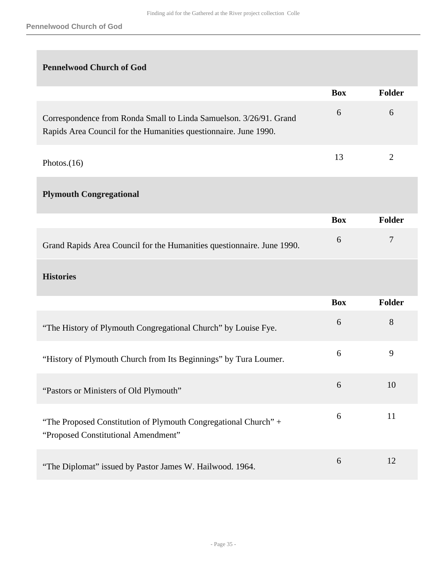## **Pennelwood Church of God**

|                                                                                                                                        | <b>Box</b> | <b>Folder</b>  |
|----------------------------------------------------------------------------------------------------------------------------------------|------------|----------------|
| Correspondence from Ronda Small to Linda Samuelson. 3/26/91. Grand<br>Rapids Area Council for the Humanities questionnaire. June 1990. | 6          | 6              |
| Photos. $(16)$                                                                                                                         | 13         | $\overline{2}$ |
| <b>Plymouth Congregational</b>                                                                                                         |            |                |
|                                                                                                                                        | <b>Box</b> | Folder         |
| Grand Rapids Area Council for the Humanities questionnaire. June 1990.                                                                 | 6          | 7              |
| <b>Histories</b>                                                                                                                       |            |                |
|                                                                                                                                        | <b>Box</b> | Folder         |
| "The History of Plymouth Congregational Church" by Louise Fye.                                                                         | 6          | 8              |
| "History of Plymouth Church from Its Beginnings" by Tura Loumer.                                                                       | 6          | 9              |
| "Pastors or Ministers of Old Plymouth"                                                                                                 | 6          | 10             |
| "The Proposed Constitution of Plymouth Congregational Church" +<br>"Proposed Constitutional Amendment"                                 | 6          | 11             |
| "The Diplomat" issued by Pastor James W. Hailwood. 1964.                                                                               | 6          | 12             |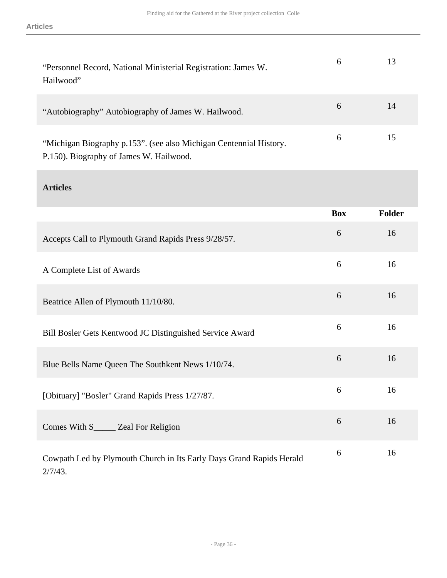| "Personnel Record, National Ministerial Registration: James W.<br>Hailwood"                                   | 6 | 13 |
|---------------------------------------------------------------------------------------------------------------|---|----|
| "Autobiography" Autobiography of James W. Hailwood.                                                           | 6 | 14 |
| "Michigan Biography p.153". (see also Michigan Centennial History.<br>P.150). Biography of James W. Hailwood. | 6 | 15 |

## **Articles**

|                                                                                    | <b>Box</b> | <b>Folder</b> |
|------------------------------------------------------------------------------------|------------|---------------|
| Accepts Call to Plymouth Grand Rapids Press 9/28/57.                               | 6          | 16            |
| A Complete List of Awards                                                          | 6          | 16            |
| Beatrice Allen of Plymouth 11/10/80.                                               | 6          | 16            |
| Bill Bosler Gets Kentwood JC Distinguished Service Award                           | 6          | 16            |
| Blue Bells Name Queen The Southkent News 1/10/74.                                  | 6          | 16            |
| [Obituary] "Bosler" Grand Rapids Press 1/27/87.                                    | 6          | 16            |
| Comes With S______ Zeal For Religion                                               | 6          | 16            |
| Cowpath Led by Plymouth Church in Its Early Days Grand Rapids Herald<br>$2/7/43$ . | 6          | 16            |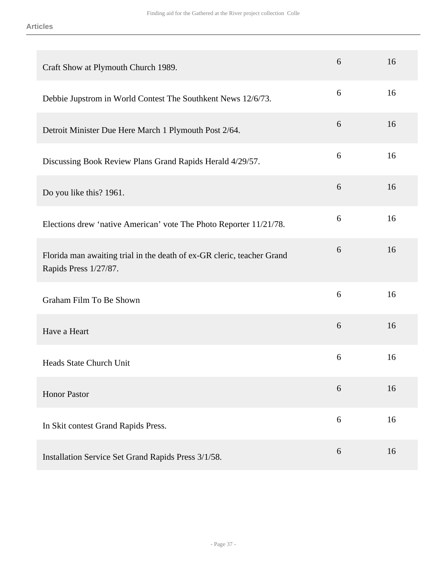| Craft Show at Plymouth Church 1989.                                                             | 6 | 16 |
|-------------------------------------------------------------------------------------------------|---|----|
| Debbie Jupstrom in World Contest The Southkent News 12/6/73.                                    | 6 | 16 |
| Detroit Minister Due Here March 1 Plymouth Post 2/64.                                           | 6 | 16 |
| Discussing Book Review Plans Grand Rapids Herald 4/29/57.                                       | 6 | 16 |
| Do you like this? 1961.                                                                         | 6 | 16 |
| Elections drew 'native American' vote The Photo Reporter 11/21/78.                              | 6 | 16 |
| Florida man awaiting trial in the death of ex-GR cleric, teacher Grand<br>Rapids Press 1/27/87. | 6 | 16 |
| Graham Film To Be Shown                                                                         | 6 | 16 |
| Have a Heart                                                                                    | 6 | 16 |
| <b>Heads State Church Unit</b>                                                                  | 6 | 16 |
| <b>Honor Pastor</b>                                                                             | 6 | 16 |
| In Skit contest Grand Rapids Press.                                                             | 6 | 16 |
| Installation Service Set Grand Rapids Press 3/1/58.                                             | 6 | 16 |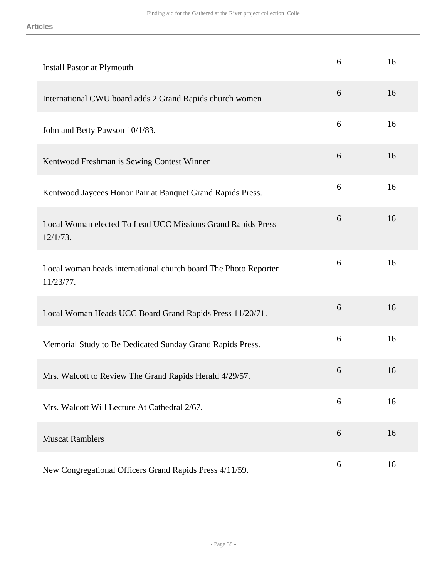| Install Pastor at Plymouth                                                   | 6 | 16 |
|------------------------------------------------------------------------------|---|----|
| International CWU board adds 2 Grand Rapids church women                     | 6 | 16 |
| John and Betty Pawson 10/1/83.                                               | 6 | 16 |
| Kentwood Freshman is Sewing Contest Winner                                   | 6 | 16 |
| Kentwood Jaycees Honor Pair at Banquet Grand Rapids Press.                   | 6 | 16 |
| Local Woman elected To Lead UCC Missions Grand Rapids Press<br>$12/1/73$ .   | 6 | 16 |
| Local woman heads international church board The Photo Reporter<br>11/23/77. | 6 | 16 |
| Local Woman Heads UCC Board Grand Rapids Press 11/20/71.                     | 6 | 16 |
| Memorial Study to Be Dedicated Sunday Grand Rapids Press.                    | 6 | 16 |
| Mrs. Walcott to Review The Grand Rapids Herald 4/29/57.                      | 6 | 16 |
| Mrs. Walcott Will Lecture At Cathedral 2/67.                                 | 6 | 16 |
| <b>Muscat Ramblers</b>                                                       | 6 | 16 |
| New Congregational Officers Grand Rapids Press 4/11/59.                      | 6 | 16 |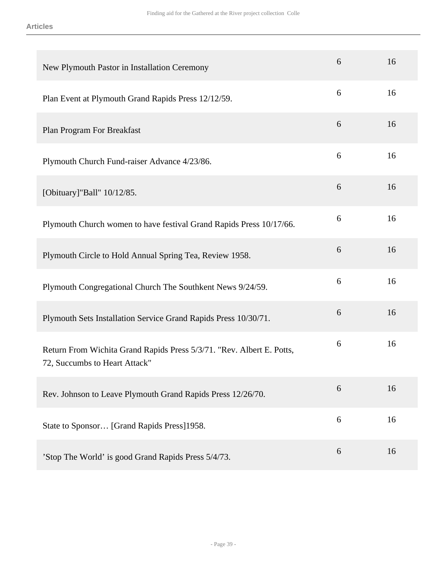| New Plymouth Pastor in Installation Ceremony                                                           | 6 | 16 |
|--------------------------------------------------------------------------------------------------------|---|----|
| Plan Event at Plymouth Grand Rapids Press 12/12/59.                                                    | 6 | 16 |
| Plan Program For Breakfast                                                                             | 6 | 16 |
| Plymouth Church Fund-raiser Advance 4/23/86.                                                           | 6 | 16 |
| [Obituary]"Ball" 10/12/85.                                                                             | 6 | 16 |
| Plymouth Church women to have festival Grand Rapids Press 10/17/66.                                    | 6 | 16 |
| Plymouth Circle to Hold Annual Spring Tea, Review 1958.                                                | 6 | 16 |
| Plymouth Congregational Church The Southkent News 9/24/59.                                             | 6 | 16 |
| Plymouth Sets Installation Service Grand Rapids Press 10/30/71.                                        | 6 | 16 |
| Return From Wichita Grand Rapids Press 5/3/71. "Rev. Albert E. Potts,<br>72, Succumbs to Heart Attack" | 6 | 16 |
| Rev. Johnson to Leave Plymouth Grand Rapids Press 12/26/70.                                            | 6 | 16 |
| State to Sponsor [Grand Rapids Press]1958.                                                             | 6 | 16 |
| 'Stop The World' is good Grand Rapids Press 5/4/73.                                                    | 6 | 16 |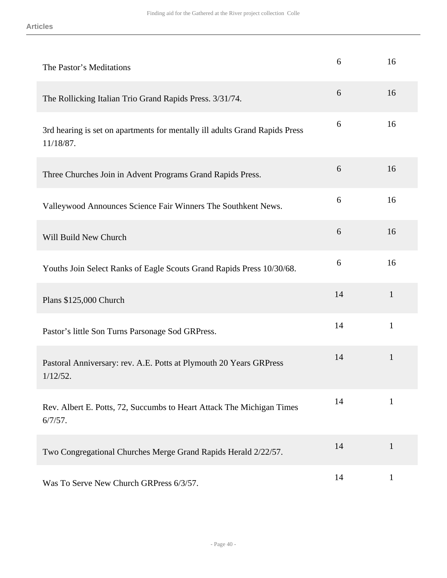| The Pastor's Meditations                                                                 | 6  | 16           |
|------------------------------------------------------------------------------------------|----|--------------|
| The Rollicking Italian Trio Grand Rapids Press. 3/31/74.                                 | 6  | 16           |
| 3rd hearing is set on apartments for mentally ill adults Grand Rapids Press<br>11/18/87. | 6  | 16           |
| Three Churches Join in Advent Programs Grand Rapids Press.                               | 6  | 16           |
| Valleywood Announces Science Fair Winners The Southkent News.                            | 6  | 16           |
| Will Build New Church                                                                    | 6  | 16           |
| Youths Join Select Ranks of Eagle Scouts Grand Rapids Press 10/30/68.                    | 6  | 16           |
| Plans \$125,000 Church                                                                   | 14 | $\mathbf{1}$ |
| Pastor's little Son Turns Parsonage Sod GRPress.                                         | 14 | $\mathbf{1}$ |
| Pastoral Anniversary: rev. A.E. Potts at Plymouth 20 Years GRPress<br>$1/12/52$ .        | 14 | $\mathbf{1}$ |
| Rev. Albert E. Potts, 72, Succumbs to Heart Attack The Michigan Times<br>$6/7/57$ .      | 14 | $\mathbf{1}$ |
| Two Congregational Churches Merge Grand Rapids Herald 2/22/57.                           | 14 | $\mathbf{1}$ |
| Was To Serve New Church GRPress 6/3/57.                                                  | 14 | $\mathbf{1}$ |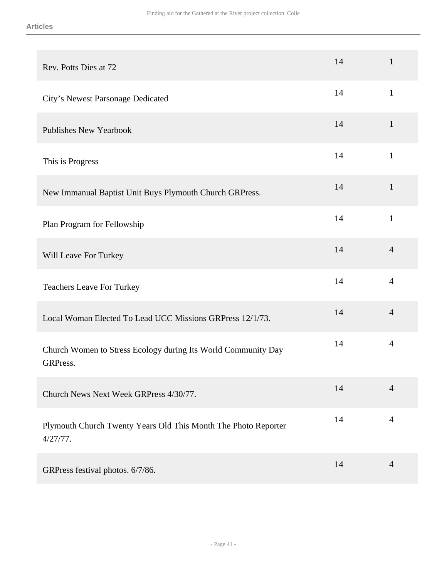| Rev. Potts Dies at 72                                                         | 14 | $\mathbf{1}$   |
|-------------------------------------------------------------------------------|----|----------------|
| City's Newest Parsonage Dedicated                                             | 14 | $\mathbf{1}$   |
| <b>Publishes New Yearbook</b>                                                 | 14 | $\mathbf{1}$   |
| This is Progress                                                              | 14 | $\mathbf{1}$   |
| New Immanual Baptist Unit Buys Plymouth Church GRPress.                       | 14 | $\mathbf{1}$   |
| Plan Program for Fellowship                                                   | 14 | $\mathbf{1}$   |
| Will Leave For Turkey                                                         | 14 | $\overline{4}$ |
| <b>Teachers Leave For Turkey</b>                                              | 14 | $\overline{4}$ |
| Local Woman Elected To Lead UCC Missions GRPress 12/1/73.                     | 14 | $\overline{4}$ |
| Church Women to Stress Ecology during Its World Community Day<br>GRPress.     | 14 | $\overline{4}$ |
| Church News Next Week GRPress 4/30/77.                                        | 14 | $\overline{4}$ |
| Plymouth Church Twenty Years Old This Month The Photo Reporter<br>$4/27/77$ . | 14 | $\overline{4}$ |
| GRPress festival photos. 6/7/86.                                              | 14 | $\overline{4}$ |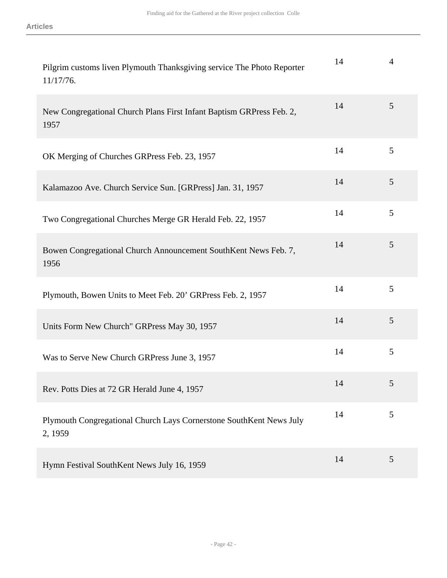| Pilgrim customs liven Plymouth Thanksgiving service The Photo Reporter<br>11/17/76. | 14 | $\overline{4}$ |
|-------------------------------------------------------------------------------------|----|----------------|
| New Congregational Church Plans First Infant Baptism GRPress Feb. 2,<br>1957        | 14 | 5              |
| OK Merging of Churches GRPress Feb. 23, 1957                                        | 14 | 5              |
| Kalamazoo Ave. Church Service Sun. [GRPress] Jan. 31, 1957                          | 14 | 5              |
| Two Congregational Churches Merge GR Herald Feb. 22, 1957                           | 14 | 5              |
| Bowen Congregational Church Announcement SouthKent News Feb. 7,<br>1956             | 14 | 5              |
| Plymouth, Bowen Units to Meet Feb. 20' GRPress Feb. 2, 1957                         | 14 | 5              |
| Units Form New Church" GRPress May 30, 1957                                         | 14 | 5              |
| Was to Serve New Church GRPress June 3, 1957                                        | 14 | 5              |
| Rev. Potts Dies at 72 GR Herald June 4, 1957                                        | 14 | 5              |
| Plymouth Congregational Church Lays Cornerstone SouthKent News July<br>2, 1959      | 14 | 5              |
| Hymn Festival SouthKent News July 16, 1959                                          | 14 | 5              |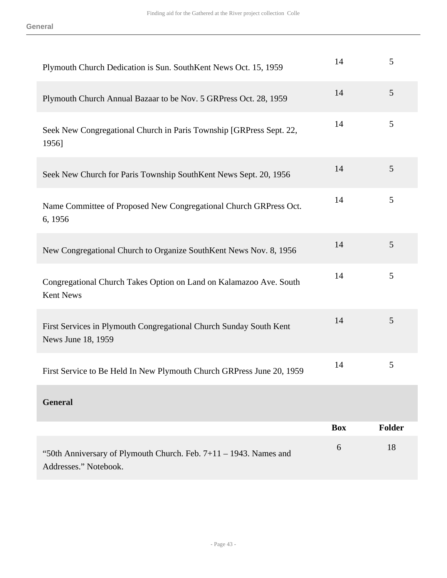| Plymouth Church Dedication is Sun. SouthKent News Oct. 15, 1959                            | 14         | 5             |
|--------------------------------------------------------------------------------------------|------------|---------------|
| Plymouth Church Annual Bazaar to be Nov. 5 GRPress Oct. 28, 1959                           | 14         | 5             |
| Seek New Congregational Church in Paris Township [GRPress Sept. 22,<br>1956]               | 14         | 5             |
| Seek New Church for Paris Township SouthKent News Sept. 20, 1956                           | 14         | 5             |
| Name Committee of Proposed New Congregational Church GRPress Oct.<br>6, 1956               | 14         | 5             |
| New Congregational Church to Organize SouthKent News Nov. 8, 1956                          | 14         | 5             |
| Congregational Church Takes Option on Land on Kalamazoo Ave. South<br>Kent News            | 14         | 5             |
| First Services in Plymouth Congregational Church Sunday South Kent<br>News June 18, 1959   | 14         | 5             |
| First Service to Be Held In New Plymouth Church GRPress June 20, 1959                      | 14         | 5             |
| <b>General</b>                                                                             |            |               |
|                                                                                            | <b>Box</b> | <b>Folder</b> |
| "50th Anniversary of Plymouth Church. Feb. 7+11 – 1943. Names and<br>Addresses." Notebook. | 6          | 18            |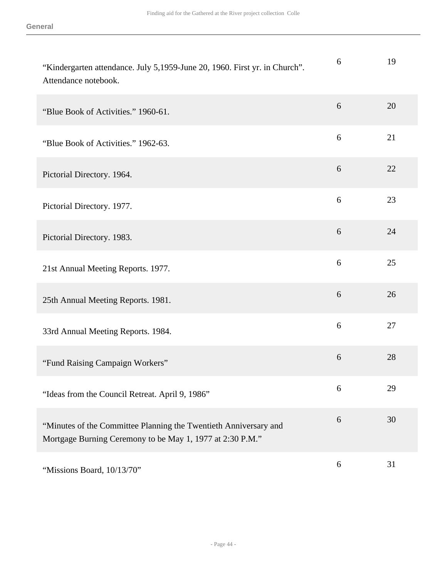| "Kindergarten attendance. July 5,1959-June 20, 1960. First yr. in Church".<br>Attendance notebook.                            | 6 | 19 |
|-------------------------------------------------------------------------------------------------------------------------------|---|----|
| "Blue Book of Activities." 1960-61.                                                                                           | 6 | 20 |
| "Blue Book of Activities." 1962-63.                                                                                           | 6 | 21 |
| Pictorial Directory. 1964.                                                                                                    | 6 | 22 |
| Pictorial Directory. 1977.                                                                                                    | 6 | 23 |
| Pictorial Directory. 1983.                                                                                                    | 6 | 24 |
| 21st Annual Meeting Reports. 1977.                                                                                            | 6 | 25 |
| 25th Annual Meeting Reports. 1981.                                                                                            | 6 | 26 |
| 33rd Annual Meeting Reports. 1984.                                                                                            | 6 | 27 |
| "Fund Raising Campaign Workers"                                                                                               | 6 | 28 |
| "Ideas from the Council Retreat. April 9, 1986"                                                                               | 6 | 29 |
| "Minutes of the Committee Planning the Twentieth Anniversary and<br>Mortgage Burning Ceremony to be May 1, 1977 at 2:30 P.M." | 6 | 30 |
| "Missions Board, 10/13/70"                                                                                                    | 6 | 31 |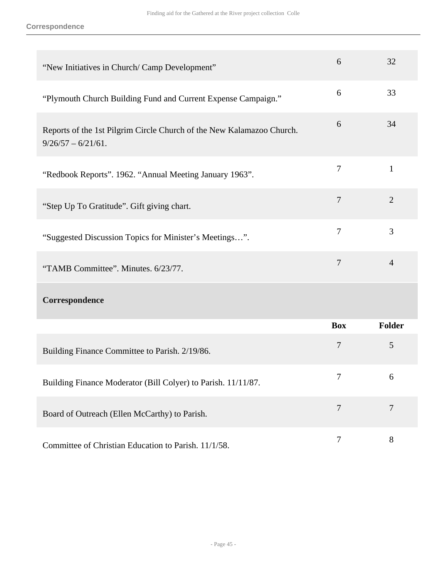| "New Initiatives in Church/ Camp Development"                                                  | 6              | 32             |
|------------------------------------------------------------------------------------------------|----------------|----------------|
| "Plymouth Church Building Fund and Current Expense Campaign."                                  | 6              | 33             |
| Reports of the 1st Pilgrim Circle Church of the New Kalamazoo Church.<br>$9/26/57 - 6/21/61$ . | 6              | 34             |
| "Redbook Reports". 1962. "Annual Meeting January 1963".                                        | $\tau$         | $\mathbf{1}$   |
| "Step Up To Gratitude". Gift giving chart.                                                     | $\tau$         | $\overline{2}$ |
| "Suggested Discussion Topics for Minister's Meetings".                                         | $\overline{7}$ | 3              |
| "TAMB Committee". Minutes. 6/23/77.                                                            | $\overline{7}$ | $\overline{4}$ |
| Correspondence                                                                                 |                |                |
|                                                                                                | <b>Box</b>     | <b>Folder</b>  |
| Building Finance Committee to Parish. 2/19/86.                                                 | $\overline{7}$ | 5              |
| Building Finance Moderator (Bill Colyer) to Parish. 11/11/87.                                  | 7              | 6              |
| Board of Outreach (Ellen McCarthy) to Parish.                                                  | $\overline{7}$ | $\overline{7}$ |
| Committee of Christian Education to Parish. 11/1/58.                                           | $\tau$         | $8\,$          |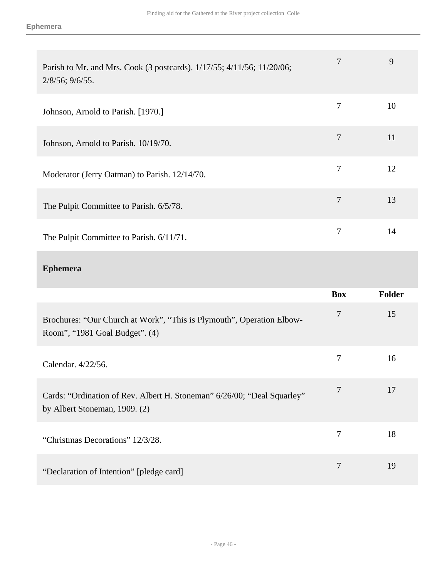| Parish to Mr. and Mrs. Cook (3 postcards). 1/17/55; 4/11/56; 11/20/06;<br>$2/8/56$ ; $9/6/55$ . |   | 9  |
|-------------------------------------------------------------------------------------------------|---|----|
| Johnson, Arnold to Parish. [1970.]                                                              | 7 | 10 |
| Johnson, Arnold to Parish. 10/19/70.                                                            | 7 | 11 |
| Moderator (Jerry Oatman) to Parish. 12/14/70.                                                   | 7 | 12 |
| The Pulpit Committee to Parish. 6/5/78.                                                         | 7 | 13 |
| The Pulpit Committee to Parish. 6/11/71.                                                        | 7 | 14 |

## **Ephemera**

|                                                                                                          | <b>Box</b> | <b>Folder</b> |
|----------------------------------------------------------------------------------------------------------|------------|---------------|
| Brochures: "Our Church at Work", "This is Plymouth", Operation Elbow-<br>Room", "1981 Goal Budget". (4)  | 7          | 15            |
| Calendar, 4/22/56.                                                                                       | 7          | 16            |
| Cards: "Ordination of Rev. Albert H. Stoneman" 6/26/00; "Deal Squarley"<br>by Albert Stoneman, 1909. (2) | 7          | 17            |
| "Christmas Decorations" 12/3/28.                                                                         | 7          | 18            |
| "Declaration of Intention" [pledge card]                                                                 | 7          | 19            |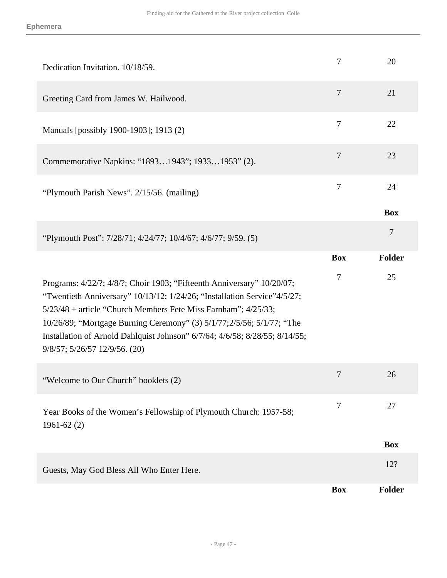| Dedication Invitation. 10/18/59.                                                                                                                                                                                                                                                                                                                                                                              | 7              | 20             |
|---------------------------------------------------------------------------------------------------------------------------------------------------------------------------------------------------------------------------------------------------------------------------------------------------------------------------------------------------------------------------------------------------------------|----------------|----------------|
| Greeting Card from James W. Hailwood.                                                                                                                                                                                                                                                                                                                                                                         | $\overline{7}$ | 21             |
| Manuals [possibly 1900-1903]; 1913 (2)                                                                                                                                                                                                                                                                                                                                                                        | $\overline{7}$ | 22             |
| Commemorative Napkins: "18931943"; 19331953" (2).                                                                                                                                                                                                                                                                                                                                                             | $\tau$         | 23             |
| "Plymouth Parish News". 2/15/56. (mailing)                                                                                                                                                                                                                                                                                                                                                                    | 7              | 24             |
|                                                                                                                                                                                                                                                                                                                                                                                                               |                | <b>Box</b>     |
| "Plymouth Post": 7/28/71; 4/24/77; 10/4/67; 4/6/77; 9/59. (5)                                                                                                                                                                                                                                                                                                                                                 |                | $\overline{7}$ |
|                                                                                                                                                                                                                                                                                                                                                                                                               | <b>Box</b>     | Folder         |
|                                                                                                                                                                                                                                                                                                                                                                                                               |                |                |
| Programs: 4/22/?; 4/8/?; Choir 1903; "Fifteenth Anniversary" 10/20/07;<br>"Twentieth Anniversary" 10/13/12; 1/24/26; "Installation Service"4/5/27;<br>5/23/48 + article "Church Members Fete Miss Farnham"; 4/25/33;<br>10/26/89; "Mortgage Burning Ceremony" (3) 5/1/77;2/5/56; 5/1/77; "The<br>Installation of Arnold Dahlquist Johnson" 6/7/64; 4/6/58; 8/28/55; 8/14/55;<br>9/8/57; 5/26/57 12/9/56. (20) | 7              | 25             |
| "Welcome to Our Church" booklets (2)                                                                                                                                                                                                                                                                                                                                                                          | 7              | 26             |
| Year Books of the Women's Fellowship of Plymouth Church: 1957-58;<br>$1961-62(2)$                                                                                                                                                                                                                                                                                                                             | 7              | 27             |
|                                                                                                                                                                                                                                                                                                                                                                                                               |                | <b>Box</b>     |
| Guests, May God Bless All Who Enter Here.                                                                                                                                                                                                                                                                                                                                                                     |                | 12?            |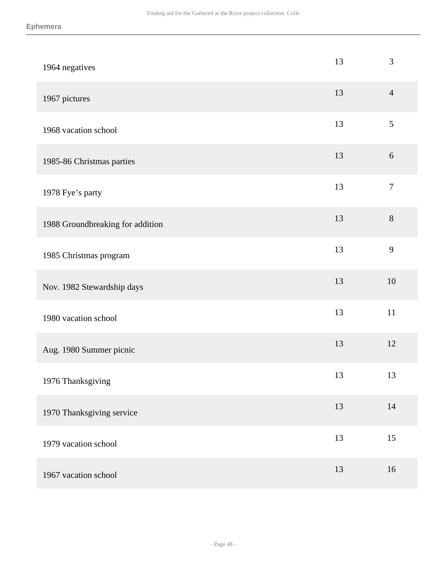| 1964 negatives                   | 13 | $\mathfrak{Z}$ |
|----------------------------------|----|----------------|
| 1967 pictures                    | 13 | $\overline{4}$ |
| 1968 vacation school             | 13 | 5              |
| 1985-86 Christmas parties        | 13 | $6\,$          |
| 1978 Fye's party                 | 13 | $\overline{7}$ |
| 1988 Groundbreaking for addition | 13 | $8\,$          |
| 1985 Christmas program           | 13 | 9              |
| Nov. 1982 Stewardship days       | 13 | 10             |
| 1980 vacation school             | 13 | 11             |
| Aug. 1980 Summer picnic          | 13 | 12             |
| 1976 Thanksgiving                | 13 | 13             |
| 1970 Thanksgiving service        | 13 | 14             |
| 1979 vacation school             | 13 | 15             |
| 1967 vacation school             | 13 | 16             |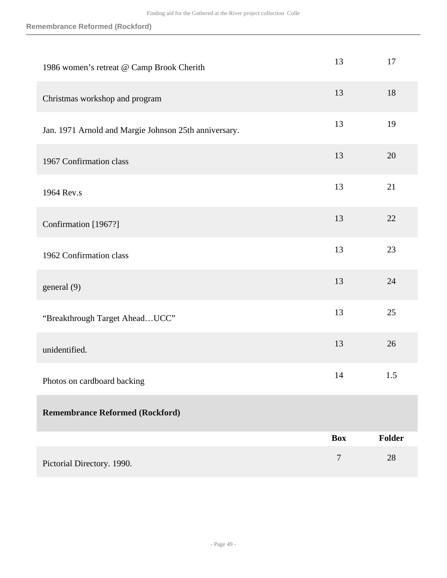| 1986 women's retreat @ Camp Brook Cherith             | 13               | 17            |
|-------------------------------------------------------|------------------|---------------|
| Christmas workshop and program                        | 13               | 18            |
| Jan. 1971 Arnold and Margie Johnson 25th anniversary. | 13               | 19            |
| 1967 Confirmation class                               | 13               | 20            |
| 1964 Rev.s                                            | 13               | 21            |
| Confirmation [1967?]                                  | 13               | 22            |
| 1962 Confirmation class                               | 13               | 23            |
| general (9)                                           | 13               | 24            |
| "Breakthrough Target Ahead UCC"                       | 13               | 25            |
| unidentified.                                         | 13               | 26            |
| Photos on cardboard backing                           | 14               | 1.5           |
| <b>Remembrance Reformed (Rockford)</b>                |                  |               |
|                                                       | <b>Box</b>       | <b>Folder</b> |
| Pictorial Directory. 1990.                            | $\boldsymbol{7}$ | 28            |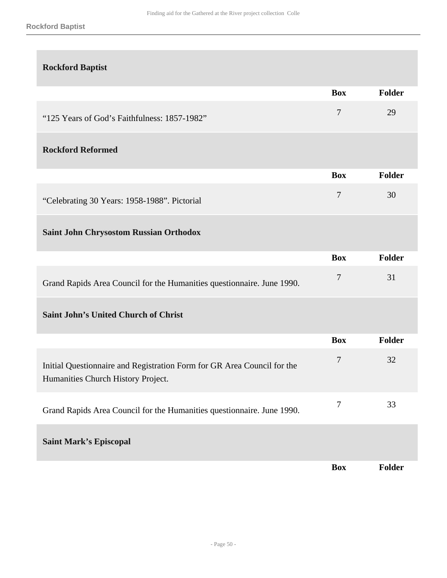#### **Rockford Baptist**

| <b>Rockford Baptist</b>                                                                                       |                  |        |
|---------------------------------------------------------------------------------------------------------------|------------------|--------|
|                                                                                                               | <b>Box</b>       | Folder |
| "125 Years of God's Faithfulness: 1857-1982"                                                                  | $\tau$           | 29     |
| <b>Rockford Reformed</b>                                                                                      |                  |        |
|                                                                                                               | <b>Box</b>       | Folder |
| "Celebrating 30 Years: 1958-1988". Pictorial                                                                  | $\tau$           | 30     |
| <b>Saint John Chrysostom Russian Orthodox</b>                                                                 |                  |        |
|                                                                                                               | <b>Box</b>       | Folder |
| Grand Rapids Area Council for the Humanities questionnaire. June 1990.                                        | $\boldsymbol{7}$ | 31     |
| <b>Saint John's United Church of Christ</b>                                                                   |                  |        |
|                                                                                                               | <b>Box</b>       | Folder |
| Initial Questionnaire and Registration Form for GR Area Council for the<br>Humanities Church History Project. | 7                | 32     |
| Grand Rapids Area Council for the Humanities questionnaire. June 1990.                                        | $\tau$           | 33     |
| <b>Saint Mark's Episcopal</b>                                                                                 |                  |        |
|                                                                                                               | <b>Box</b>       | Folder |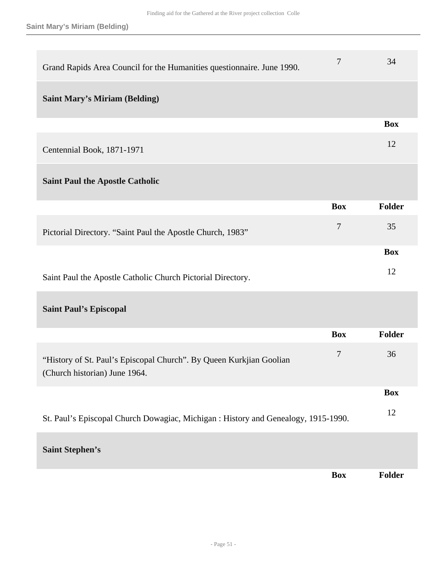| Grand Rapids Area Council for the Humanities questionnaire. June 1990.                               | 7          | 34            |
|------------------------------------------------------------------------------------------------------|------------|---------------|
| <b>Saint Mary's Miriam (Belding)</b>                                                                 |            |               |
|                                                                                                      |            | <b>Box</b>    |
| Centennial Book, 1871-1971                                                                           |            | 12            |
| <b>Saint Paul the Apostle Catholic</b>                                                               |            |               |
|                                                                                                      | <b>Box</b> | <b>Folder</b> |
| Pictorial Directory. "Saint Paul the Apostle Church, 1983"                                           | 7          | 35            |
|                                                                                                      |            | <b>Box</b>    |
| Saint Paul the Apostle Catholic Church Pictorial Directory.                                          |            | 12            |
| <b>Saint Paul's Episcopal</b>                                                                        |            |               |
|                                                                                                      | <b>Box</b> | <b>Folder</b> |
| "History of St. Paul's Episcopal Church". By Queen Kurkjian Goolian<br>(Church historian) June 1964. | $\tau$     | 36            |
|                                                                                                      |            | <b>Box</b>    |
| St. Paul's Episcopal Church Dowagiac, Michigan : History and Genealogy, 1915-1990.                   |            | 12            |
| <b>Saint Stephen's</b>                                                                               |            |               |
|                                                                                                      | <b>Box</b> | <b>Folder</b> |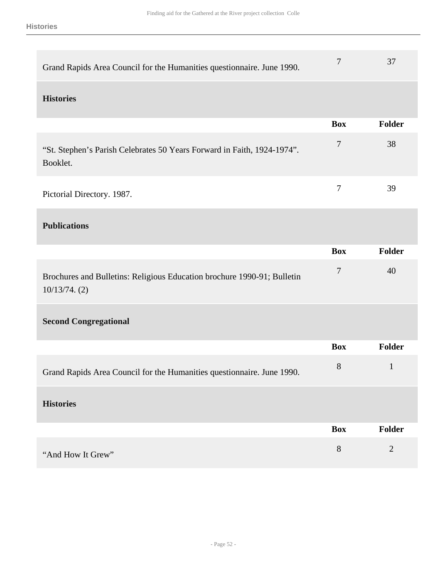| Grand Rapids Area Council for the Humanities questionnaire. June 1990.                   | 7                | 37             |
|------------------------------------------------------------------------------------------|------------------|----------------|
| <b>Histories</b>                                                                         |                  |                |
|                                                                                          | <b>Box</b>       | Folder         |
| "St. Stephen's Parish Celebrates 50 Years Forward in Faith, 1924-1974".<br>Booklet.      | $\tau$           | 38             |
| Pictorial Directory. 1987.                                                               | $\overline{7}$   | 39             |
| <b>Publications</b>                                                                      |                  |                |
|                                                                                          | <b>Box</b>       | <b>Folder</b>  |
| Brochures and Bulletins: Religious Education brochure 1990-91; Bulletin<br>10/13/74. (2) | $\boldsymbol{7}$ | 40             |
| <b>Second Congregational</b>                                                             |                  |                |
|                                                                                          | <b>Box</b>       | <b>Folder</b>  |
| Grand Rapids Area Council for the Humanities questionnaire. June 1990.                   | $8\phantom{1}$   | $\mathbf{1}$   |
| <b>Histories</b>                                                                         |                  |                |
|                                                                                          | <b>Box</b>       | Folder         |
| "And How It Grew"                                                                        | 8                | $\overline{2}$ |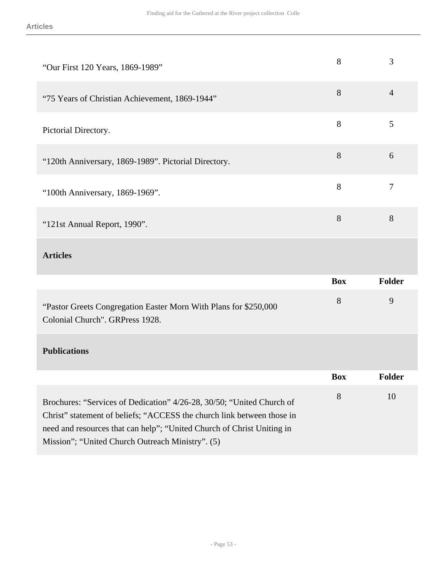| "Our First 120 Years, 1869-1989"                                                                                                                | 8          | 3              |
|-------------------------------------------------------------------------------------------------------------------------------------------------|------------|----------------|
| "75 Years of Christian Achievement, 1869-1944"                                                                                                  | 8          | $\overline{4}$ |
| Pictorial Directory.                                                                                                                            | 8          | 5              |
| "120th Anniversary, 1869-1989". Pictorial Directory.                                                                                            | 8          | 6              |
| "100th Anniversary, 1869-1969".                                                                                                                 | 8          | 7              |
| "121st Annual Report, 1990".                                                                                                                    | 8          | 8              |
| <b>Articles</b>                                                                                                                                 |            |                |
|                                                                                                                                                 | <b>Box</b> | <b>Folder</b>  |
| "Pastor Greets Congregation Easter Morn With Plans for \$250,000<br>Colonial Church". GRPress 1928.                                             | 8          | 9              |
| <b>Publications</b>                                                                                                                             |            |                |
|                                                                                                                                                 | <b>Box</b> | Folder         |
| Brochures: "Services of Dedication" 4/26-28, 30/50; "United Church of<br>Christ" statement of beliefs; "ACCESS the church link between those in | 8          | 10             |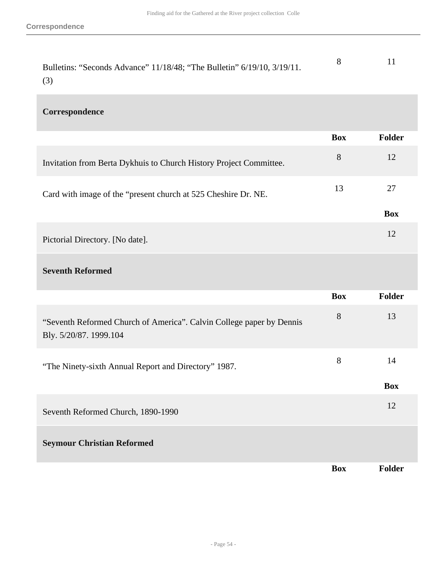| Bulletins: "Seconds Advance" 11/18/48; "The Bulletin" 6/19/10, 3/19/11. |  |
|-------------------------------------------------------------------------|--|
| (3)                                                                     |  |

## **Correspondence**

|                                                                                                | <b>Box</b> | Folder        |
|------------------------------------------------------------------------------------------------|------------|---------------|
| Invitation from Berta Dykhuis to Church History Project Committee.                             | 8          | 12            |
| Card with image of the "present church at 525 Cheshire Dr. NE.                                 | 13         | 27            |
|                                                                                                |            | <b>Box</b>    |
| Pictorial Directory. [No date].                                                                |            | 12            |
| <b>Seventh Reformed</b>                                                                        |            |               |
|                                                                                                | <b>Box</b> | Folder        |
| "Seventh Reformed Church of America". Calvin College paper by Dennis<br>Bly. 5/20/87. 1999.104 | $8\,$      | 13            |
| "The Ninety-sixth Annual Report and Directory" 1987.                                           | $8\,$      | 14            |
|                                                                                                |            | <b>Box</b>    |
| Seventh Reformed Church, 1890-1990                                                             |            | 12            |
| <b>Seymour Christian Reformed</b>                                                              |            |               |
|                                                                                                | <b>Box</b> | <b>Folder</b> |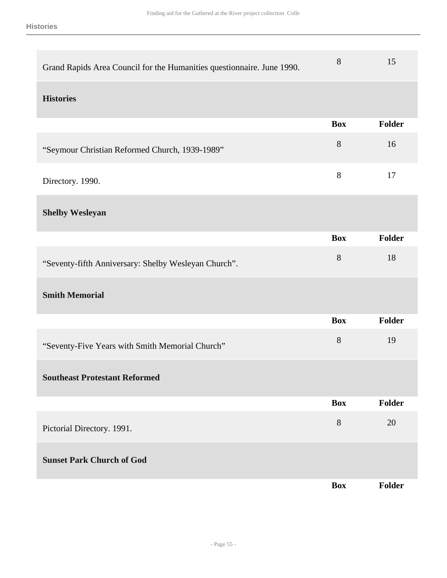| Grand Rapids Area Council for the Humanities questionnaire. June 1990. | 8          | 15     |
|------------------------------------------------------------------------|------------|--------|
| <b>Histories</b>                                                       |            |        |
|                                                                        | <b>Box</b> | Folder |
| "Seymour Christian Reformed Church, 1939-1989"                         | $8\,$      | 16     |
| Directory. 1990.                                                       | $8\,$      | 17     |
| <b>Shelby Wesleyan</b>                                                 |            |        |
|                                                                        | <b>Box</b> | Folder |
| "Seventy-fifth Anniversary: Shelby Wesleyan Church".                   | $8\,$      | 18     |
| <b>Smith Memorial</b>                                                  |            |        |
|                                                                        | <b>Box</b> | Folder |
| "Seventy-Five Years with Smith Memorial Church"                        | $8\,$      | 19     |
| <b>Southeast Protestant Reformed</b>                                   |            |        |
|                                                                        | <b>Box</b> | Folder |
| Pictorial Directory. 1991.                                             | $8\,$      | 20     |
| <b>Sunset Park Church of God</b>                                       |            |        |
|                                                                        | <b>Box</b> | Folder |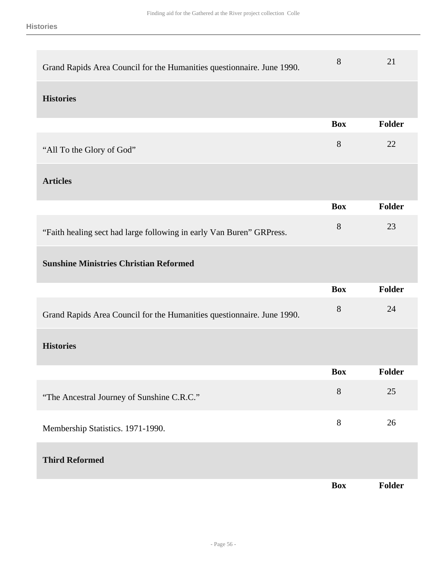| Grand Rapids Area Council for the Humanities questionnaire. June 1990. | 8          | 21     |
|------------------------------------------------------------------------|------------|--------|
| <b>Histories</b>                                                       |            |        |
|                                                                        | <b>Box</b> | Folder |
| "All To the Glory of God"                                              | 8          | 22     |
| <b>Articles</b>                                                        |            |        |
|                                                                        | <b>Box</b> | Folder |
| "Faith healing sect had large following in early Van Buren" GRPress.   | 8          | 23     |
| <b>Sunshine Ministries Christian Reformed</b>                          |            |        |
|                                                                        |            |        |
|                                                                        | <b>Box</b> | Folder |
| Grand Rapids Area Council for the Humanities questionnaire. June 1990. | 8          | 24     |
| <b>Histories</b>                                                       |            |        |
|                                                                        | <b>Box</b> | Folder |
| "The Ancestral Journey of Sunshine C.R.C."                             | 8          | 25     |
| Membership Statistics. 1971-1990.                                      | 8          | 26     |
| <b>Third Reformed</b>                                                  |            |        |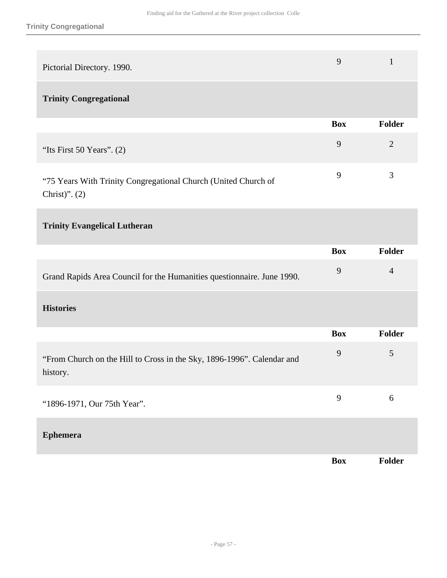| Pictorial Directory. 1990.                                                         | 9          | $\mathbf{1}$   |
|------------------------------------------------------------------------------------|------------|----------------|
| <b>Trinity Congregational</b>                                                      |            |                |
|                                                                                    | <b>Box</b> | <b>Folder</b>  |
| "Its First 50 Years". $(2)$                                                        | 9          | $\overline{2}$ |
| "75 Years With Trinity Congregational Church (United Church of<br>Christ)". $(2)$  | 9          | 3              |
| <b>Trinity Evangelical Lutheran</b>                                                |            |                |
|                                                                                    | <b>Box</b> | <b>Folder</b>  |
| Grand Rapids Area Council for the Humanities questionnaire. June 1990.             | 9          | $\overline{4}$ |
| <b>Histories</b>                                                                   |            |                |
|                                                                                    | <b>Box</b> | <b>Folder</b>  |
| "From Church on the Hill to Cross in the Sky, 1896-1996". Calendar and<br>history. | 9          | $\mathfrak{S}$ |
| "1896-1971, Our 75th Year".                                                        | 9          | 6              |
| <b>Ephemera</b>                                                                    |            |                |
|                                                                                    | <b>Box</b> | Folder         |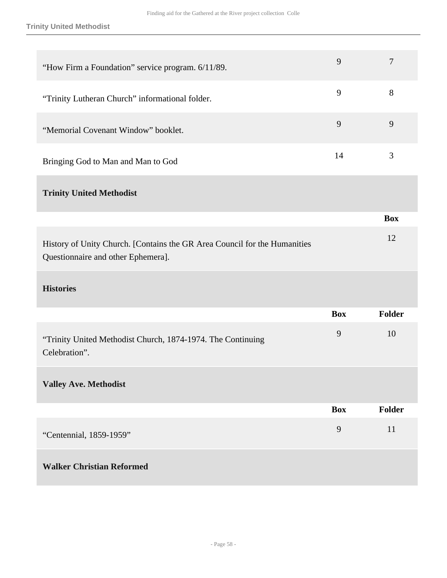**Trinity United Methodist**

| "How Firm a Foundation" service program. 6/11/89.                                                               | 9          | $\overline{7}$ |
|-----------------------------------------------------------------------------------------------------------------|------------|----------------|
| "Trinity Lutheran Church" informational folder.                                                                 | 9          | $8\,$          |
| "Memorial Covenant Window" booklet.                                                                             | 9          | 9              |
| Bringing God to Man and Man to God                                                                              | 14         | 3              |
| <b>Trinity United Methodist</b>                                                                                 |            |                |
|                                                                                                                 |            | <b>Box</b>     |
| History of Unity Church. [Contains the GR Area Council for the Humanities<br>Questionnaire and other Ephemera]. |            | 12             |
| <b>Histories</b>                                                                                                |            |                |
|                                                                                                                 | <b>Box</b> | <b>Folder</b>  |
| "Trinity United Methodist Church, 1874-1974. The Continuing<br>Celebration".                                    | 9          | 10             |
| <b>Valley Ave. Methodist</b>                                                                                    |            |                |
|                                                                                                                 | <b>Box</b> | Folder         |
| "Centennial, 1859-1959"                                                                                         | 9          | 11             |
|                                                                                                                 |            |                |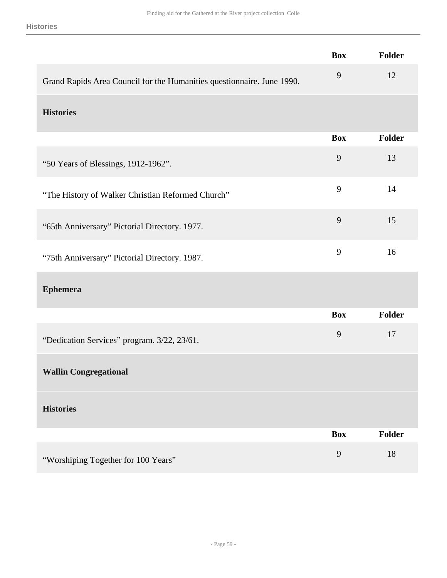|                                                                        | <b>Box</b>     | Folder        |
|------------------------------------------------------------------------|----------------|---------------|
| Grand Rapids Area Council for the Humanities questionnaire. June 1990. | 9              | 12            |
| <b>Histories</b>                                                       |                |               |
|                                                                        | <b>Box</b>     | <b>Folder</b> |
| "50 Years of Blessings, 1912-1962".                                    | 9              | 13            |
| "The History of Walker Christian Reformed Church"                      | 9              | 14            |
| "65th Anniversary" Pictorial Directory. 1977.                          | 9              | 15            |
| "75th Anniversary" Pictorial Directory. 1987.                          | 9              | 16            |
| <b>Ephemera</b>                                                        |                |               |
|                                                                        | <b>Box</b>     | Folder        |
| "Dedication Services" program. 3/22, 23/61.                            | 9              | 17            |
| <b>Wallin Congregational</b>                                           |                |               |
| <b>Histories</b>                                                       |                |               |
|                                                                        | <b>Box</b>     | <b>Folder</b> |
| "Worshiping Together for 100 Years"                                    | $\overline{9}$ | 18            |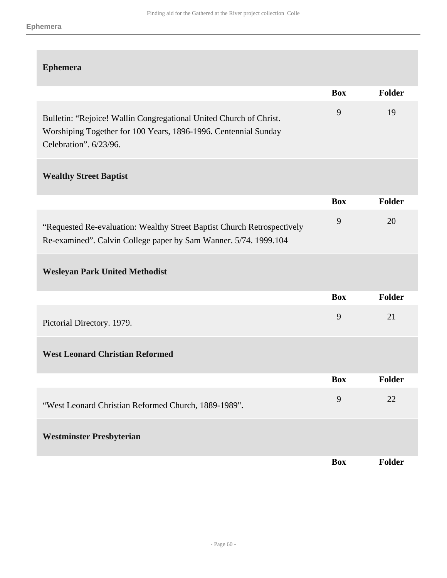| <b>Ephemera</b>                                                                                                                                                 |            |               |
|-----------------------------------------------------------------------------------------------------------------------------------------------------------------|------------|---------------|
|                                                                                                                                                                 | <b>Box</b> | Folder        |
| Bulletin: "Rejoice! Wallin Congregational United Church of Christ.<br>Worshiping Together for 100 Years, 1896-1996. Centennial Sunday<br>Celebration". 6/23/96. | 9          | 19            |
| <b>Wealthy Street Baptist</b>                                                                                                                                   |            |               |
|                                                                                                                                                                 | <b>Box</b> | <b>Folder</b> |
| "Requested Re-evaluation: Wealthy Street Baptist Church Retrospectively<br>Re-examined". Calvin College paper by Sam Wanner. 5/74. 1999.104                     | 9          | 20            |
| <b>Wesleyan Park United Methodist</b>                                                                                                                           |            |               |
|                                                                                                                                                                 | <b>Box</b> | Folder        |
| Pictorial Directory. 1979.                                                                                                                                      | 9          | 21            |
| <b>West Leonard Christian Reformed</b>                                                                                                                          |            |               |
|                                                                                                                                                                 | <b>Box</b> | <b>Folder</b> |
| "West Leonard Christian Reformed Church, 1889-1989".                                                                                                            | 9          | 22            |
| <b>Westminster Presbyterian</b>                                                                                                                                 |            |               |
|                                                                                                                                                                 | <b>Box</b> | Folder        |